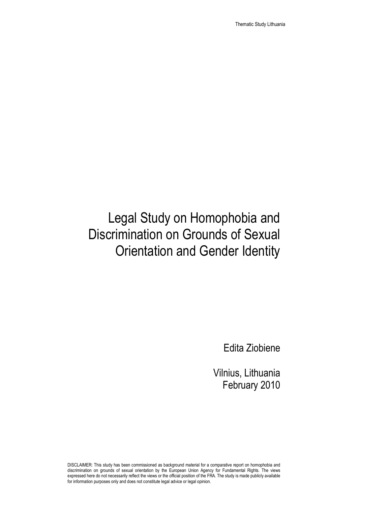Thematic Study Lithuania

# Legal Study on Homophobia and Discrimination on Grounds of Sexual Orientation and Gender Identity

Edita Ziobiene

Vilnius, Lithuania February 2010

DISCLAIMER: This study has been commissioned as background material for a comparative report on homophobia and discrimination on grounds of sexual orientation by the European Union Agency for Fundamental Rights. The views expressed here do not necessarily reflect the views or the official position of the FRA. The study is made publicly available for information purposes only and does not constitute legal advice or legal opinion.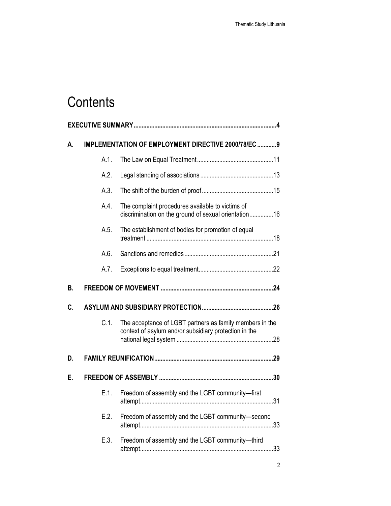# **Contents**

| А. |         | IMPLEMENTATION OF EMPLOYMENT DIRECTIVE 2000/78/EC 9                                                               |  |
|----|---------|-------------------------------------------------------------------------------------------------------------------|--|
|    | A.1.    |                                                                                                                   |  |
|    | A.2.    |                                                                                                                   |  |
|    | A.3.    |                                                                                                                   |  |
|    | A.4.    | The complaint procedures available to victims of<br>discrimination on the ground of sexual orientation16          |  |
|    | A.5.    | The establishment of bodies for promotion of equal                                                                |  |
|    | A.6.    |                                                                                                                   |  |
|    | A.7.    |                                                                                                                   |  |
| В. |         |                                                                                                                   |  |
| C. |         |                                                                                                                   |  |
|    | C.1.    | The acceptance of LGBT partners as family members in the<br>context of asylum and/or subsidiary protection in the |  |
| D. |         |                                                                                                                   |  |
| Е. |         |                                                                                                                   |  |
|    | $E.1$ . | Freedom of assembly and the LGBT community-first                                                                  |  |
|    | E.2.    | Freedom of assembly and the LGBT community-second                                                                 |  |
|    | E.3.    | Freedom of assembly and the LGBT community-third                                                                  |  |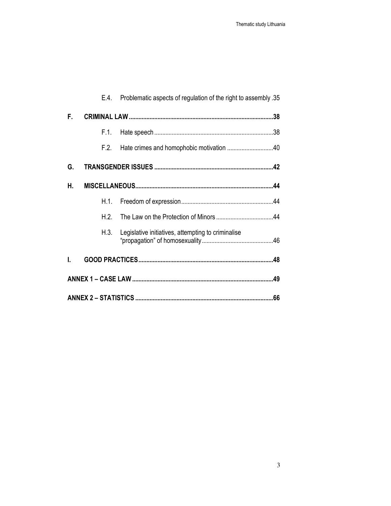|    | E.4. | Problematic aspects of regulation of the right to assembly .35 |
|----|------|----------------------------------------------------------------|
| F. |      |                                                                |
|    | F.1. |                                                                |
|    | F.2. | Hate crimes and homophobic motivation 40                       |
| G. |      |                                                                |
| н. |      |                                                                |
|    | H.1. |                                                                |
|    | H 2  |                                                                |
|    | H.3. | Legislative initiatives, attempting to criminalise             |
| L  |      |                                                                |
|    |      |                                                                |
|    |      |                                                                |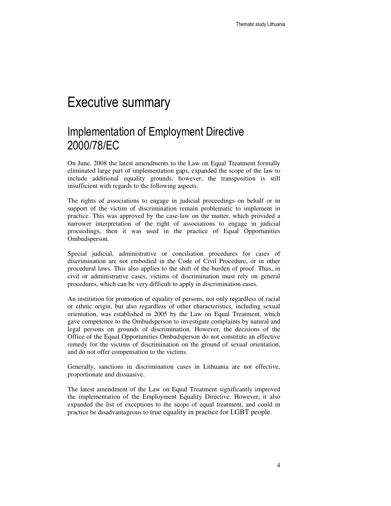## Executive summary

## Implementation of Employment Directive 2000/78/EC

On June, 2008 the latest amendments to the Law on Equal Treatment formally eliminated large part of implementation gaps, expanded the scope of the law to include additional equality grounds, however, the transposition is still insufficient with regards to the following aspects.

The rights of associations to engage in judicial proceedings on behalf or in support of the victim of discrimination remain problematic to implement in practice. This was approved by the case-law on the matter, which provided a narrower interpretation of the right of associations to engage in judicial proceedings, then it was used in the practice of Equal Opportunities Ombudsperson.

Special judicial, administrative or conciliation procedures for cases of discrimination are not embodied in the Code of Civil Procedure, or in other procedural laws. This also applies to the shift of the burden of proof. Thus, in civil or administrative cases, victims of discrimination must rely on general procedures, which can be very difficult to apply in discrimination cases.

An institution for promotion of equality of persons, not only regardless of racial or ethnic origin, but also regardless of other characteristics, including sexual orientation, was established in 2005 by the Law on Equal Treatment, which gave competence to the Ombudsperson to investigate complaints by natural and legal persons on grounds of discrimination. However, the decisions of the Office of the Equal Opportunities Ombudsperson do not constitute an effective remedy for the victims of discrimination on the ground of sexual orientation, and do not offer compensation to the victims.

Generally, sanctions in discrimination cases in Lithuania are not effective, proportionate and dissuasive.

The latest amendment of the Law on Equal Treatment significantly improved the implementation of the Employment Equality Directive. However, it also expanded the list of exceptions to the scope of equal treatment, and could in practice be disadvantageous to true equality in practice for LGBT people.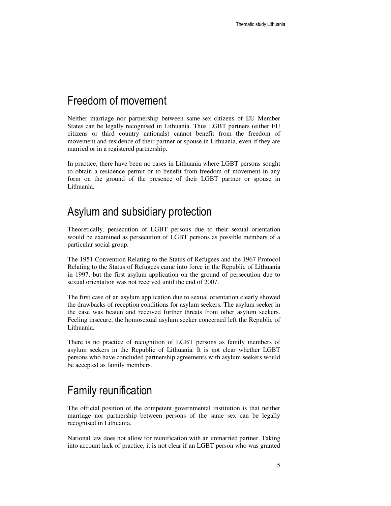### Freedom of movement

Neither marriage nor partnership between same-sex citizens of EU Member States can be legally recognised in Lithuania. Thus LGBT partners (either EU citizens or third country nationals) cannot benefit from the freedom of movement and residence of their partner or spouse in Lithuania, even if they are married or in a registered partnership.

In practice, there have been no cases in Lithuania where LGBT persons sought to obtain a residence permit or to benefit from freedom of movement in any form on the ground of the presence of their LGBT partner or spouse in Lithuania.

### Asylum and subsidiary protection

Theoretically, persecution of LGBT persons due to their sexual orientation would be examined as persecution of LGBT persons as possible members of a particular social group.

The 1951 Convention Relating to the Status of Refugees and the 1967 Protocol Relating to the Status of Refugees came into force in the Republic of Lithuania in 1997, but the first asylum application on the ground of persecution due to sexual orientation was not received until the end of 2007.

The first case of an asylum application due to sexual orientation clearly showed the drawbacks of reception conditions for asylum seekers. The asylum seeker in the case was beaten and received further threats from other asylum seekers. Feeling insecure, the homosexual asylum seeker concerned left the Republic of Lithuania.

There is no practice of recognition of LGBT persons as family members of asylum seekers in the Republic of Lithuania. It is not clear whether LGBT persons who have concluded partnership agreements with asylum seekers would be accepted as family members.

## Family reunification

The official position of the competent governmental institution is that neither marriage nor partnership between persons of the same sex can be legally recognised in Lithuania.

National law does not allow for reunification with an unmarried partner. Taking into account lack of practice, it is not clear if an LGBT person who was granted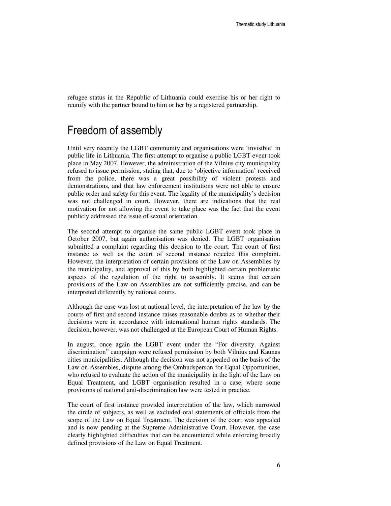refugee status in the Republic of Lithuania could exercise his or her right to reunify with the partner bound to him or her by a registered partnership.

### Freedom of assembly

Until very recently the LGBT community and organisations were 'invisible' in public life in Lithuania. The first attempt to organise a public LGBT event took place in May 2007. However, the administration of the Vilnius city municipality refused to issue permission, stating that, due to 'objective information' received from the police, there was a great possibility of violent protests and demonstrations, and that law enforcement institutions were not able to ensure public order and safety for this event. The legality of the municipality's decision was not challenged in court. However, there are indications that the real motivation for not allowing the event to take place was the fact that the event publicly addressed the issue of sexual orientation.

The second attempt to organise the same public LGBT event took place in October 2007, but again authorisation was denied. The LGBT organisation submitted a complaint regarding this decision to the court. The court of first instance as well as the court of second instance rejected this complaint. However, the interpretation of certain provisions of the Law on Assemblies by the municipality, and approval of this by both highlighted certain problematic aspects of the regulation of the right to assembly. It seems that certain provisions of the Law on Assemblies are not sufficiently precise, and can be interpreted differently by national courts.

Although the case was lost at national level, the interpretation of the law by the courts of first and second instance raises reasonable doubts as to whether their decisions were in accordance with international human rights standards. The decision, however, was not challenged at the European Court of Human Rights.

In august, once again the LGBT event under the "For diversity. Against discrimination" campaign were refused permission by both Vilnius and Kaunas cities municipalities. Although the decision was not appealed on the basis of the Law on Assembles, dispute among the Ombudsperson for Equal Opportunities, who refused to evaluate the action of the municipality in the light of the Law on Equal Treatment, and LGBT organisation resulted in a case, where some provisions of national anti-discrimination law were tested in practice.

The court of first instance provided interpretation of the law, which narrowed the circle of subjects, as well as excluded oral statements of officials from the scope of the Law on Equal Treatment. The decision of the court was appealed and is now pending at the Supreme Administrative Court. However, the case clearly highlighted difficulties that can be encountered while enforcing broadly defined provisions of the Law on Equal Treatment.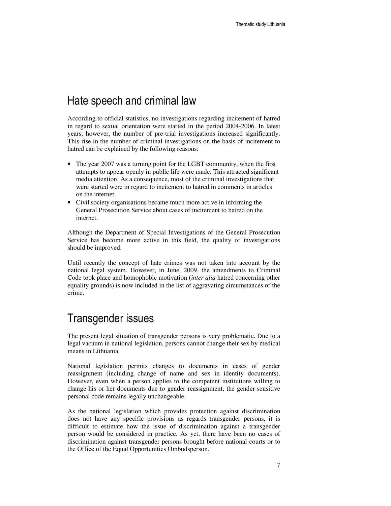### Hate speech and criminal law

According to official statistics, no investigations regarding incitement of hatred in regard to sexual orientation were started in the period 2004-2006. In latest years, however, the number of pre-trial investigations increased significantly. This rise in the number of criminal investigations on the basis of incitement to hatred can be explained by the following reasons:

- The year 2007 was a turning point for the LGBT community, when the first attempts to appear openly in public life were made. This attracted significant media attention. As a consequence, most of the criminal investigations that were started were in regard to incitement to hatred in comments in articles on the internet.
- Civil society organisations became much more active in informing the General Prosecution Service about cases of incitement to hatred on the internet.

Although the Department of Special Investigations of the General Prosecution Service has become more active in this field, the quality of investigations should be improved.

Until recently the concept of hate crimes was not taken into account by the national legal system. However, in June, 2009, the amendments to Criminal Code took place and homophobic motivation (*inter alia* hatred concerning other equality grounds) is now included in the list of aggravating circumstances of the crime.

### Transgender issues

The present legal situation of transgender persons is very problematic. Due to a legal vacuum in national legislation, persons cannot change their sex by medical means in Lithuania.

National legislation permits changes to documents in cases of gender reassignment (including change of name and sex in identity documents). However, even when a person applies to the competent institutions willing to change his or her documents due to gender reassignment, the gender-sensitive personal code remains legally unchangeable.

As the national legislation which provides protection against discrimination does not have any specific provisions as regards transgender persons, it is difficult to estimate how the issue of discrimination against a transgender person would be considered in practice. As yet, there have been no cases of discrimination against transgender persons brought before national courts or to the Office of the Equal Opportunities Ombudsperson.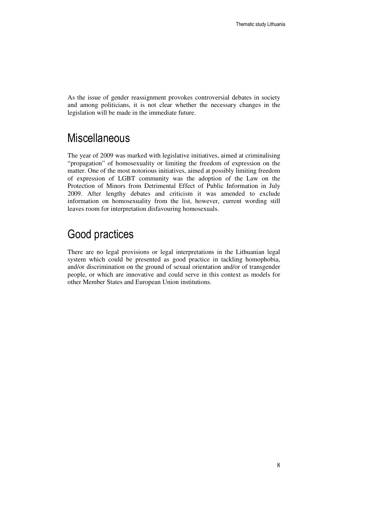As the issue of gender reassignment provokes controversial debates in society and among politicians, it is not clear whether the necessary changes in the legislation will be made in the immediate future.

### **Miscellaneous**

The year of 2009 was marked with legislative initiatives, aimed at criminalising "propagation" of homosexuality or limiting the freedom of expression on the matter. One of the most notorious initiatives, aimed at possibly limiting freedom of expression of LGBT community was the adoption of the Law on the Protection of Minors from Detrimental Effect of Public Information in July 2009. After lengthy debates and criticism it was amended to exclude information on homosexuality from the list, however, current wording still leaves room for interpretation disfavouring homosexuals.

## Good practices

There are no legal provisions or legal interpretations in the Lithuanian legal system which could be presented as good practice in tackling homophobia, and/or discrimination on the ground of sexual orientation and/or of transgender people, or which are innovative and could serve in this context as models for other Member States and European Union institutions.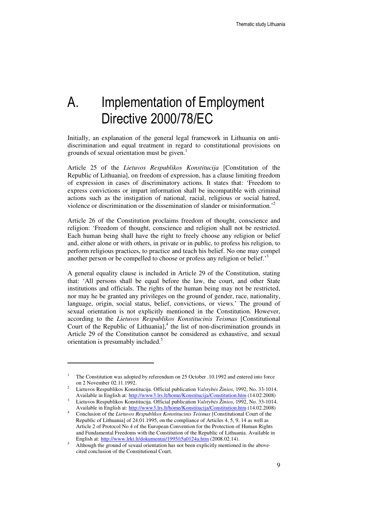# A. Implementation of Employment Directive 2000/78/EC

Initially, an explanation of the general legal framework in Lithuania on antidiscrimination and equal treatment in regard to constitutional provisions on grounds of sexual orientation must be given.<sup>1</sup>

Article 25 of the *Lietuvos Respublikos Konstitucija* [Constitution of the Republic of Lithuania], on freedom of expression, has a clause limiting freedom of expression in cases of discriminatory actions. It states that: 'Freedom to express convictions or impart information shall be incompatible with criminal actions such as the instigation of national, racial, religious or social hatred, violence or discrimination or the dissemination of slander or misinformation.'<sup>2</sup>

Article 26 of the Constitution proclaims freedom of thought, conscience and religion: 'Freedom of thought, conscience and religion shall not be restricted. Each human being shall have the right to freely choose any religion or belief and, either alone or with others, in private or in public, to profess his religion, to perform religious practices, to practice and teach his belief. No one may compel another person or be compelled to choose or profess any religion or belief.<sup>3</sup>

A general equality clause is included in Article 29 of the Constitution, stating that: 'All persons shall be equal before the law, the court, and other State institutions and officials. The rights of the human being may not be restricted, nor may he be granted any privileges on the ground of gender, race, nationality, language, origin, social status, belief, convictions, or views.' The ground of sexual orientation is not explicitly mentioned in the Constitution. However, according to the *Lietuvos Respublikos Konstitucinis Teismas* [Constitutional Court of the Republic of Lithuania], $<sup>4</sup>$  the list of non-discrimination grounds in</sup> Article 29 of the Constitution cannot be considered as exhaustive, and sexual orientation is presumably included.<sup>5</sup>

<sup>1</sup> The Constitution was adopted by referendum on 25 October .10.1992 and entered into force on 2 November 02.11.1992.

<sup>2</sup> Lietuvos Respublikos Konstitucija. Official publication *Valstyb*ė*s Žinios*, 1992, No. 33-1014. Available in English at: http://www3.lrs.lt/home/Konstitucija/Constitution.htm (14.02.2008)

<sup>3</sup> Lietuvos Respublikos Konstitucija. Official publication *Valstyb*ė*s Žinios*, 1992, No. 33-1014. Available in English at: http://www3.lrs.lt/home/Konstitucija/Constitution.htm (14.02.2008)

<sup>4</sup> Conclusion of the *Lietuvos Respublikos Konstitucinis Teismas* [Constitutional Court of the Republic of Lithuania] of 24.01.1995, on the compliance of Articles 4, 5, 9, 14 as well as Article 2 of Protocol No 4 of the European Convention for the Protection of Human Rights and Fundamental Freedoms with the Constitution of the Republic of Lithuania. Available in English at: http://www.lrkt.lt/dokumentai/1995/i5a0124a.htm (2008.02.14).

<sup>5</sup> Although the ground of sexual orientation has not been explicitly mentioned in the abovecited conclusion of the Constitutional Court.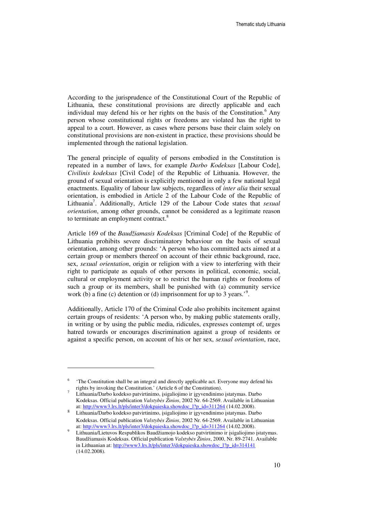According to the jurisprudence of the Constitutional Court of the Republic of Lithuania, these constitutional provisions are directly applicable and each individual may defend his or her rights on the basis of the Constitution.<sup>6</sup> Any person whose constitutional rights or freedoms are violated has the right to appeal to a court. However, as cases where persons base their claim solely on constitutional provisions are non-existent in practice, these provisions should be implemented through the national legislation.

The general principle of equality of persons embodied in the Constitution is repeated in a number of laws, for example *Darbo Kodeksas* [Labour Code], *Civilinis kodeksas* [Civil Code] of the Republic of Lithuania. However, the ground of sexual orientation is explicitly mentioned in only a few national legal enactments. Equality of labour law subjects, regardless of *inter alia* their sexual orientation, is embodied in Article 2 of the Labour Code of the Republic of Lithuania<sup>7</sup>. Additionally, Article 129 of the Labour Code states that *sexual orientation*, among other grounds, cannot be considered as a legitimate reason to terminate an employment contract.<sup>8</sup>

Article 169 of the *Baudžiamasis Kodeksas* [Criminal Code] of the Republic of Lithuania prohibits severe discriminatory behaviour on the basis of sexual orientation, among other grounds: 'A person who has committed acts aimed at a certain group or members thereof on account of their ethnic background, race, sex, *sexual orientation*, origin or religion with a view to interfering with their right to participate as equals of other persons in political, economic, social, cultural or employment activity or to restrict the human rights or freedoms of such a group or its members, shall be punished with (a) community service work (b) a fine (c) detention or (d) imprisonment for up to 3 years.<sup>'9</sup>.

Additionally, Article 170 of the Criminal Code also prohibits incitement against certain groups of residents: 'A person who, by making public statements orally, in writing or by using the public media, ridicules, expresses contempt of, urges hatred towards or encourages discrimination against a group of residents or against a specific person, on account of his or her sex, *sexual orientation*, race,

<sup>6</sup> 'The Constitution shall be an integral and directly applicable act. Everyone may defend his rights by invoking the Constitution.' (Article 6 of the Constitution).

<sup>7</sup> Lithuania/Darbo kodekso patvirtinimo, įsigaliojimo ir įgyvendinimo įstatymas. Darbo Kodeksas. Official publication *Valstyb*ė*s Žinios*, 2002 Nr. 64-2569. Available in Lithuanian at: http://www3.lrs.lt/pls/inter3/dokpaieska.showdoc\_l?p\_id=311264 (14.02.2008).

<sup>8</sup> Lithuania/Darbo kodekso patvirtinimo, įsigaliojimo ir įgyvendinimo įstatymas. Darbo Kodeksas. Official publication *Valstyb*ė*s Žinios*, 2002 Nr. 64-2569. Available in Lithuanian at: http://www3.lrs.lt/pls/inter3/dokpaieska.showdoc\_l?p\_id=311264 (14.02.2008).

<sup>9</sup> Lithuania/Lietuvos Respublikos Baudžiamojo kodekso patvirtinimo ir įsigaliojimo įstatymas. Baudžiamasis Kodeksas. Official publication *Valstyb*ė*s Žinios*, 2000, Nr. 89-2741. Available in Lithuanian at: http://www3.lrs.lt/pls/inter3/dokpaieska.showdoc\_l?p\_id=314141 (14.02.2008).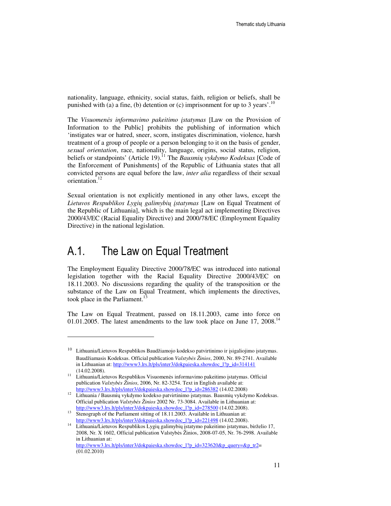nationality, language, ethnicity, social status, faith, religion or beliefs, shall be punished with (a) a fine, (b) detention or (c) imprisonment for up to 3 years'.<sup>10</sup>

The *Visuomen*ė*s informavimo pakeitimo* į*statymas* [Law on the Provision of Information to the Public] prohibits the publishing of information which 'instigates war or hatred, sneer, scorn, instigates discrimination, violence, harsh treatment of a group of people or a person belonging to it on the basis of gender, *sexual orientation*, race, nationality, language, origins, social status, religion, beliefs or standpoints' (Article 19).<sup>11</sup> The *Bausmių vykdymo Kodeksas* [Code of the Enforcement of Punishments] of the Republic of Lithuania states that all convicted persons are equal before the law, *inter alia* regardless of their sexual orientation.<sup>12</sup>

Sexual orientation is not explicitly mentioned in any other laws, except the *Lietuvos Respublikos Lygi*ų *galimybi*ų į*statymas* [Law on Equal Treatment of the Republic of Lithuania], which is the main legal act implementing Directives 2000/43/EC (Racial Equality Directive) and 2000/78/EC (Employment Equality Directive) in the national legislation.

### A.1. The Law on Equal Treatment

 $\overline{a}$ 

(01.02.2010)

The Employment Equality Directive 2000/78/EC was introduced into national legislation together with the Racial Equality Directive 2000/43/EC on 18.11.2003. No discussions regarding the quality of the transposition or the substance of the Law on Equal Treatment, which implements the directives, took place in the Parliament. $13$ 

The Law on Equal Treatment, passed on 18.11.2003, came into force on 01.01.2005. The latest amendments to the law took place on June 17, 2008.<sup>14</sup>

<sup>10</sup> Lithuania/Lietuvos Respublikos Baudžiamojo kodekso patvirtinimo ir įsigaliojimo įstatymas. Baudžiamasis Kodeksas. Official publication *Valstyb*ė*s Žinios*, 2000, Nr. 89-2741. Available in Lithuanian at: http://www3.lrs.lt/pls/inter3/dokpaieska.showdoc\_l?p\_id=314141 (14.02.2008).

<sup>&</sup>lt;sup>11</sup> Lithuania/Lietuvos Respublikos Visuomenės informavimo pakeitimo įstatymas. Official publication *Valstyb*ė*s Žinios*, 2006, Nr. 82-3254. Text in English available at: http://www3.lrs.lt/pls/inter3/dokpaieska.showdoc\_l?p\_id=286382 (14.02.2008)

<sup>&</sup>lt;sup>12</sup> Lithuania / Bausmių vykdymo kodekso patvirtinimo įstatymas. Bausmių vykdymo Kodeksas. Official publication *Valstyb*ė*s Žinios* 2002 Nr. 73-3084. Available in Lithuanian at: http://www3.lrs.lt/pls/inter3/dokpaieska.showdoc\_l?p\_id=278500 (14.02.2008).

<sup>13</sup> Stenograph of the Parliament sitting of 18.11.2003. Available in Lithuanian at: http://www3.lrs.lt/pls/inter3/dokpaieska.showdoc\_l?p\_id=221498 (14.02.2008).

<sup>14</sup> Lithuania/Lietuvos Respublikos Lygių galimybių įstatymo pakeitimo įstatymas, birželio 17, 2008, Nr. X 1602, Official publication Valstybės Žinios, 2008-07-05, Nr. 76-2998. Available in Lithuanian at: http://www3.lrs.lt/pls/inter3/dokpaieska.showdoc\_l?p\_id=323620&p\_query=&p\_tr2=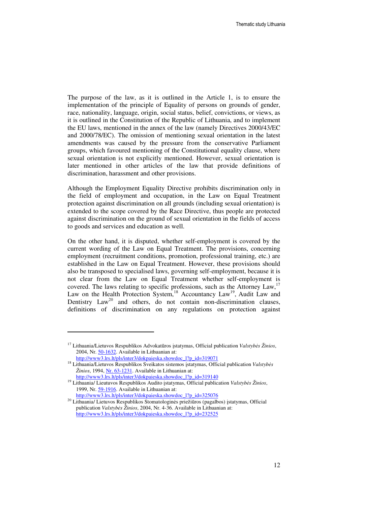The purpose of the law, as it is outlined in the Article 1, is to ensure the implementation of the principle of Equality of persons on grounds of gender, race, nationality, language, origin, social status, belief, convictions, or views, as it is outlined in the Constitution of the Republic of Lithuania, and to implement the EU laws, mentioned in the annex of the law (namely Directives 2000/43/EC and 2000/78/EC). The omission of mentioning sexual orientation in the latest amendments was caused by the pressure from the conservative Parliament groups, which favoured mentioning of the Constitutional equality clause, where sexual orientation is not explicitly mentioned. However, sexual orientation is later mentioned in other articles of the law that provide definitions of discrimination, harassment and other provisions.

Although the Employment Equality Directive prohibits discrimination only in the field of employment and occupation, in the Law on Equal Treatment protection against discrimination on all grounds (including sexual orientation) is extended to the scope covered by the Race Directive, thus people are protected against discrimination on the ground of sexual orientation in the fields of access to goods and services and education as well.

On the other hand, it is disputed, whether self-employment is covered by the current wording of the Law on Equal Treatment. The provisions, concerning employment (recruitment conditions, promotion, professional training, etc.) are established in the Law on Equal Treatment. However, these provisions should also be transposed to specialised laws, governing self-employment, because it is not clear from the Law on Equal Treatment whether self-employment is covered. The laws relating to specific professions, such as the Attorney Law,<sup>17</sup> Law on the Health Protection System,<sup>18</sup> Accountancy Law<sup>19</sup>, Audit Law and Dentistry  $Law^{20}$  and others, do not contain non-discrimination clauses, definitions of discrimination on any regulations on protection against

<sup>17</sup> Lithuania/Lietuvos Respublikos Advokatūros įstatymas, Official publication *Valstyb*ė*s Žinios*, 2004, Nr. 50-1632. Available in Lithuanian at: http://www3.lrs.lt/pls/inter3/dokpaieska.showdoc\_l?p\_id=319071

<sup>18</sup> Lithuania/Lietuvos Respublikos Sveikatos sistemos įstatymas, Official publication *Valstyb*ė*s Žinios*, 1994, Nr. 63-1231. Available in Lithuanian at: http://www3.lrs.lt/pls/inter3/dokpaieska.showdoc\_l?p\_id=319140

<sup>19</sup> Lithuania/ Lieutuvos Respublikos Audito įstatymas, Official publication *Valstyb*ė*s Žinios*, 1999, Nr. 59-1916. Available in Lithuanian at: http://www3.lrs.lt/pls/inter3/dokpaieska.showdoc\_l?p\_id=325076

<sup>20</sup> Lithuania/ Lietuvos Respublikos Stomatologinės priežiūros (pagalbos) įstatymas, Official publication *Valstyb*ė*s Žinios*, 2004, Nr. 4-36. Available in Lithuanian at: http://www3.lrs.lt/pls/inter3/dokpaieska.showdoc\_l?p\_id=232525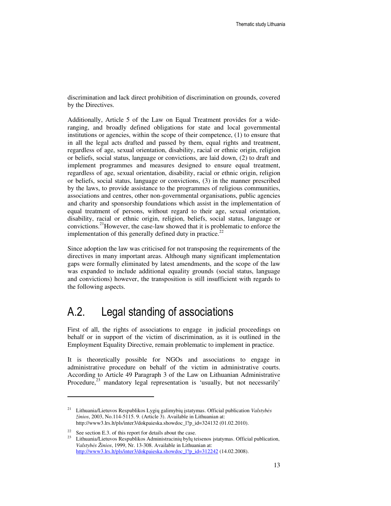discrimination and lack direct prohibition of discrimination on grounds, covered by the Directives.

Additionally, Article 5 of the Law on Equal Treatment provides for a wideranging, and broadly defined obligations for state and local governmental institutions or agencies, within the scope of their competence, (1) to ensure that in all the legal acts drafted and passed by them, equal rights and treatment, regardless of age, sexual orientation, disability, racial or ethnic origin, religion or beliefs, social status, language or convictions, are laid down, (2) to draft and implement programmes and measures designed to ensure equal treatment, regardless of age, sexual orientation, disability, racial or ethnic origin, religion or beliefs, social status, language or convictions, (3) in the manner prescribed by the laws, to provide assistance to the programmes of religious communities, associations and centres, other non-governmental organisations, public agencies and charity and sponsorship foundations which assist in the implementation of equal treatment of persons, without regard to their age, sexual orientation, disability, racial or ethnic origin, religion, beliefs, social status, language or convictions.<sup>21</sup>However, the case-law showed that it is problematic to enforce the implementation of this generally defined duty in practice.<sup>22</sup>

Since adoption the law was criticised for not transposing the requirements of the directives in many important areas. Although many significant implementation gaps were formally eliminated by latest amendments, and the scope of the law was expanded to include additional equality grounds (social status, language and convictions) however, the transposition is still insufficient with regards to the following aspects.

### A.2. Legal standing of associations

First of all, the rights of associations to engage in judicial proceedings on behalf or in support of the victim of discrimination, as it is outlined in the Employment Equality Directive, remain problematic to implement in practice.

It is theoretically possible for NGOs and associations to engage in administrative procedure on behalf of the victim in administrative courts. According to Article 49 Paragraph 3 of the Law on Lithuanian Administrative Procedure, $^{23}$  mandatory legal representation is 'usually, but not necessarily'

<sup>21</sup> Lithuania/Lietuvos Respublikos Lygių galimybių įstatymas. Official publication *Valstyb*ė*s žinios*, 2003, No.114-5115. 9. (Article 3). Available in Lithuanian at: http://www3.lrs.lt/pls/inter3/dokpaieska.showdoc\_l?p\_id=324132 (01.02.2010).

<sup>&</sup>lt;sup>22</sup> See section E.3. of this report for details about the case.<br><sup>23</sup> Lithuania Littuace Beamphilipes Administrative hybrids

Lithuania/Lietuvos Respublikos Administracinių bylų teisenos įstatymas. Official publication, *Valstyb*ė*s Žinios*, 1999, Nr. 13-308. Available in Lithuanian at: http://www3.lrs.lt/pls/inter3/dokpaieska.showdoc\_l?p\_id=312242 (14.02.2008).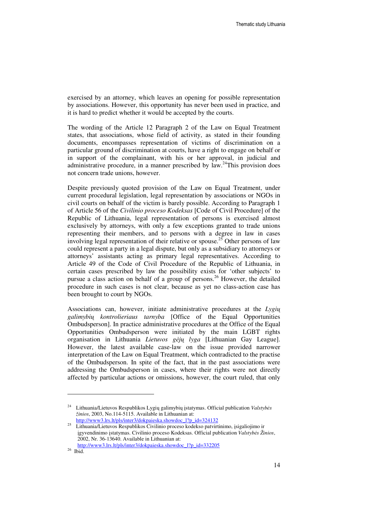exercised by an attorney, which leaves an opening for possible representation by associations. However, this opportunity has never been used in practice, and it is hard to predict whether it would be accepted by the courts.

The wording of the Article 12 Paragraph 2 of the Law on Equal Treatment states, that associations, whose field of activity, as stated in their founding documents, encompasses representation of victims of discrimination on a particular ground of discrimination at courts, have a right to engage on behalf or in support of the complainant, with his or her approval, in judicial and administrative procedure, in a manner prescribed by law.<sup>24</sup>This provision does not concern trade unions, however.

Despite previously quoted provision of the Law on Equal Treatment, under current procedural legislation, legal representation by associations or NGOs in civil courts on behalf of the victim is barely possible. According to Paragraph 1 of Article 56 of the *Civilinio proceso Kodeksas* [Code of Civil Procedure] of the Republic of Lithuania, legal representation of persons is exercised almost exclusively by attorneys, with only a few exceptions granted to trade unions representing their members, and to persons with a degree in law in cases involving legal representation of their relative or spouse.<sup>25</sup> Other persons of law could represent a party in a legal dispute, but only as a subsidiary to attorneys or attorneys' assistants acting as primary legal representatives. According to Article 49 of the Code of Civil Procedure of the Republic of Lithuania, in certain cases prescribed by law the possibility exists for 'other subjects' to pursue a class action on behalf of a group of persons. <sup>26</sup> However, the detailed procedure in such cases is not clear, because as yet no class-action case has been brought to court by NGOs.

Associations can, however, initiate administrative procedures at the *Lygi*ų *galimybi*ų *kontrolieriaus tarnyba* [Office of the Equal Opportunities Ombudsperson]. In practice administrative procedures at the Office of the Equal Opportunities Ombudsperson were initiated by the main LGBT rights organisation in Lithuania *Lietuvos g*ė*j*ų *lyga* [Lithuanian Gay League]. However, the latest available case-law on the issue provided narrower interpretation of the Law on Equal Treatment, which contradicted to the practise of the Ombudsperson. In spite of the fact, that in the past associations were addressing the Ombudsperson in cases, where their rights were not directly affected by particular actions or omissions, however, the court ruled, that only

<sup>24</sup> Lithuania/Lietuvos Respublikos Lygių galimybių įstatymas. Official publication *Valstyb*ė*s žinios*, 2003, No.114-5115. Available in Lithuanian at:

http://www3.lrs.lt/pls/inter3/dokpaieska.showdoc\_l?p\_id=324132

<sup>25</sup> Lithuania/Lietuvos Respublikos Civilinio proceso kodekso patvirtinimo, įsigaliojimo ir įgyvendinimo įstatymas. Civilinio proceso Kodeksas. Official publication *Valstyb*ė*s Žinios*, 2002, Nr. 36-13640. Available in Lithuanian at:

http://www3.lrs.lt/pls/inter3/dokpaieska.showdoc\_l?p\_id=332205

 $^{26}\,$  Ibid.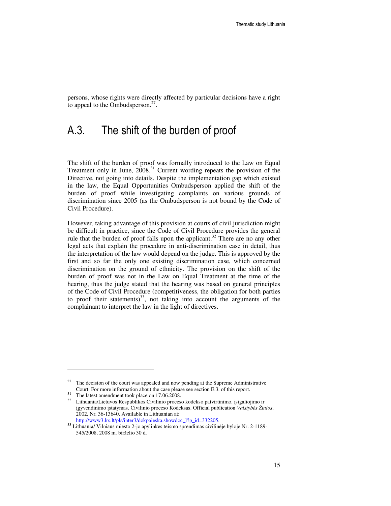persons, whose rights were directly affected by particular decisions have a right to appeal to the Ombudsperson.<sup>27</sup>.

### A.3. The shift of the burden of proof

The shift of the burden of proof was formally introduced to the Law on Equal Treatment only in June, 2008.<sup>31</sup> Current wording repeats the provision of the Directive, not going into details. Despite the implementation gap which existed in the law, the Equal Opportunities Ombudsperson applied the shift of the burden of proof while investigating complaints on various grounds of discrimination since 2005 (as the Ombudsperson is not bound by the Code of Civil Procedure).

However, taking advantage of this provision at courts of civil jurisdiction might be difficult in practice, since the Code of Civil Procedure provides the general rule that the burden of proof falls upon the applicant.<sup>32</sup> There are no any other legal acts that explain the procedure in anti-discrimination case in detail, thus the interpretation of the law would depend on the judge. This is approved by the first and so far the only one existing discrimination case, which concerned discrimination on the ground of ethnicity. The provision on the shift of the burden of proof was not in the Law on Equal Treatment at the time of the hearing, thus the judge stated that the hearing was based on general principles of the Code of Civil Procedure (competitiveness, the obligation for both parties to proof their statements)<sup>33</sup>, not taking into account the arguments of the complainant to interpret the law in the light of directives.

 $27$  The decision of the court was appealed and now pending at the Supreme Administrative Court. For more information about the case please see section E.3. of this report.

<sup>&</sup>lt;sup>31</sup> The latest amendment took place on 17.06.2008.

<sup>32</sup> Lithuania/Lietuvos Respublikos Civilinio proceso kodekso patvirtinimo, įsigaliojimo ir įgyvendinimo įstatymas. Civilinio proceso Kodeksas. Official publication *Valstyb*ė*s Žinios*, 2002, Nr. 36-13640. Available in Lithuanian at: http://www3.lrs.lt/pls/inter3/dokpaieska.showdoc\_l?p\_id=332205.

<sup>33</sup> Lithuania/ Vilniaus miesto 2-jo apylinkės teismo sprendimas civilinėje byloje Nr. 2-1189- 545/2008, 2008 m. birželio 30 d.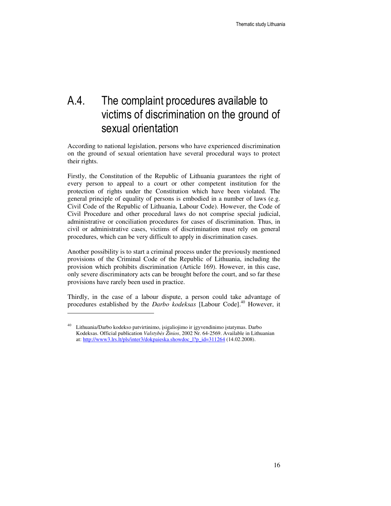## A.4. The complaint procedures available to victims of discrimination on the ground of sexual orientation

According to national legislation, persons who have experienced discrimination on the ground of sexual orientation have several procedural ways to protect their rights.

Firstly, the Constitution of the Republic of Lithuania guarantees the right of every person to appeal to a court or other competent institution for the protection of rights under the Constitution which have been violated. The general principle of equality of persons is embodied in a number of laws (e.g. Civil Code of the Republic of Lithuania, Labour Code). However, the Code of Civil Procedure and other procedural laws do not comprise special judicial, administrative or conciliation procedures for cases of discrimination. Thus, in civil or administrative cases, victims of discrimination must rely on general procedures, which can be very difficult to apply in discrimination cases.

Another possibility is to start a criminal process under the previously mentioned provisions of the Criminal Code of the Republic of Lithuania, including the provision which prohibits discrimination (Article 169). However, in this case, only severe discriminatory acts can be brought before the court, and so far these provisions have rarely been used in practice.

Thirdly, in the case of a labour dispute, a person could take advantage of procedures established by the *Darbo kodeksas* [Labour Code].<sup>40</sup> However, it

<sup>40</sup> Lithuania/Darbo kodekso patvirtinimo, įsigaliojimo ir įgyvendinimo įstatymas. Darbo Kodeksas. Official publication *Valstyb*ė*s Žinios*, 2002 Nr. 64-2569. Available in Lithuanian at: http://www3.lrs.lt/pls/inter3/dokpaieska.showdoc\_l?p\_id=311264 (14.02.2008).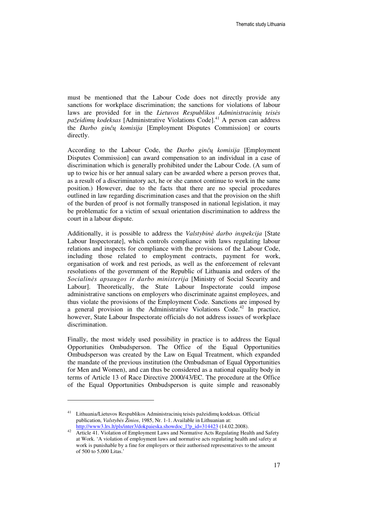must be mentioned that the Labour Code does not directly provide any sanctions for workplace discrimination; the sanctions for violations of labour laws are provided for in the *Lietuvos Respublikos Administracini*ų *teis*ė*s pažeidim*ų *kodeksas* [Administrative Violations Code].<sup>41</sup> A person can address the *Darbo gin*čų *komisija* [Employment Disputes Commission] or courts directly.

According to the Labour Code, the *Darbo gin*čų *komisija* [Employment Disputes Commission] can award compensation to an individual in a case of discrimination which is generally prohibited under the Labour Code. (A sum of up to twice his or her annual salary can be awarded where a person proves that, as a result of a discriminatory act, he or she cannot continue to work in the same position.) However, due to the facts that there are no special procedures outlined in law regarding discrimination cases and that the provision on the shift of the burden of proof is not formally transposed in national legislation, it may be problematic for a victim of sexual orientation discrimination to address the court in a labour dispute.

Additionally, it is possible to address the *Valstybin*ė *darbo inspekcija* [State Labour Inspectorate], which controls compliance with laws regulating labour relations and inspects for compliance with the provisions of the Labour Code, including those related to employment contracts, payment for work, organisation of work and rest periods, as well as the enforcement of relevant resolutions of the government of the Republic of Lithuania and orders of the *Socialin*ė*s apsaugos ir darbo ministerija* [Ministry of Social Security and Labour]. Theoretically, the State Labour Inspectorate could impose administrative sanctions on employers who discriminate against employees, and thus violate the provisions of the Employment Code. Sanctions are imposed by a general provision in the Administrative Violations Code.<sup>42</sup> In practice, however, State Labour Inspectorate officials do not address issues of workplace discrimination.

Finally, the most widely used possibility in practice is to address the Equal Opportunities Ombudsperson. The Office of the Equal Opportunities Ombudsperson was created by the Law on Equal Treatment, which expanded the mandate of the previous institution (the Ombudsman of Equal Opportunities for Men and Women), and can thus be considered as a national equality body in terms of Article 13 of Race Directive 2000/43/EC. The procedure at the Office of the Equal Opportunities Ombudsperson is quite simple and reasonably

<sup>41</sup> Lithuania/Lietuvos Respublikos Administracinių teisės pažeidimų kodeksas. Official publication, *Valstyb*ė*s Žinios*, 1985, Nr. 1-1. Available in Lithuanian at: http://www3.lrs.lt/pls/inter3/dokpaieska.showdoc\_l?p\_id=314423 (14.02.2008).

<sup>&</sup>lt;sup>42</sup> Article 41. Violation of Employment Laws and Normative Acts Regulating Health and Safety at Work. 'A violation of employment laws and normative acts regulating health and safety at work is punishable by a fine for employers or their authorised representatives to the amount of 500 to 5,000 Litas.'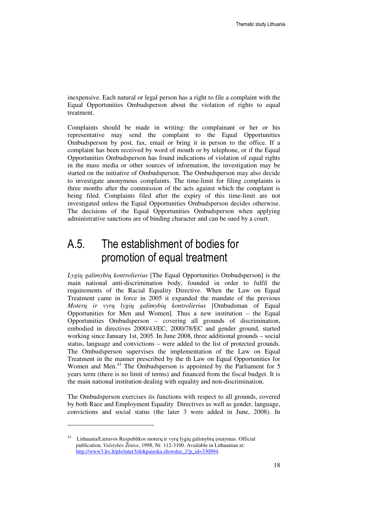inexpensive. Each natural or legal person has a right to file a complaint with the Equal Opportunities Ombudsperson about the violation of rights to equal treatment.

Complaints should be made in writing: the complainant or her or his representative may send the complaint to the Equal Opportunities Ombudsperson by post, fax, email or bring it in person to the office. If a complaint has been received by word of mouth or by telephone, or if the Equal Opportunities Ombudsperson has found indications of violation of equal rights in the mass media or other sources of information, the investigation may be started on the initiative of Ombudsperson. The Ombudsperson may also decide to investigate anonymous complaints. The time-limit for filing complaints is three months after the commission of the acts against which the complaint is being filed. Complaints filed after the expiry of this time-limit are not investigated unless the Equal Opportunities Ombudsperson decides otherwise. The decisions of the Equal Opportunities Ombudsperson when applying administrative sanctions are of binding character and can be sued by a court.

## A.5. The establishment of bodies for promotion of equal treatment

*Lygi*ų *galimybi*ų *kontrolierius* [The Equal Opportunities Ombudsperson] is the main national anti-discrimination body, founded in order to fulfil the requirements of the Racial Equality Directive. When the Law on Equal Treatment came in force in 2005 it expanded the mandate of the previous *Moter*ų *ir vyr*ų *lygi*ų *galimybi*ų *kontrolierius* [Ombudsman of Equal Opportunities for Men and Women]. Thus a new institution – the Equal Opportunities Ombudsperson – covering all grounds of discrimination, embodied in directives 2000/43/EC, 2000/78/EC and gender ground, started working since January 1st, 2005. In June 2008, three additional grounds – social status, language and convictions – were added to the list of protected grounds. The Ombudsperson supervises the implementation of the Law on Equal Treatment in the manner prescribed by the th Law on Equal Opportunities for Women and Men.<sup>43</sup> The Ombudsperson is appointed by the Parliament for 5 years term (there is no limit of terms) and financed from the fiscal budget. It is the main national institution dealing with equality and non-discrimination.

The Ombudsperson exercises its functions with respect to all grounds, covered by both Race and Employment Equality Directives as well as gender, language, convictions and social status (the later 3 were added in June, 2008). In

<sup>43</sup> Lithuania/Lietuvos Respublikos moterų ir vyrų lygių galimybių įstatymas. Official publication, *Valstyb*ė*s Žinios*, 1998, Nr. 112-3100. Available in Lithuanian at: http://www3.lrs.lt/pls/inter3/dokpaieska.showdoc\_l?p\_id=330994.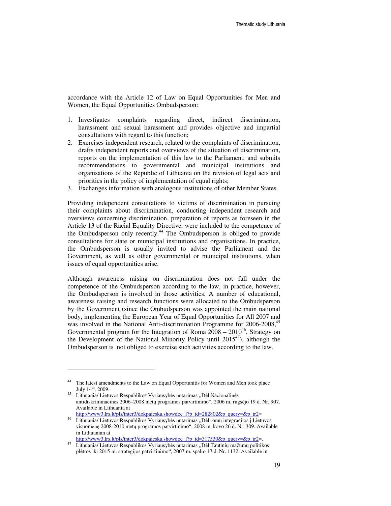accordance with the Article 12 of Law on Equal Opportunities for Men and Women, the Equal Opportunities Ombudsperson:

- 1. Investigates complaints regarding direct, indirect discrimination, harassment and sexual harassment and provides objective and impartial consultations with regard to this function;
- 2. Exercises independent research, related to the complaints of discrimination, drafts independent reports and overviews of the situation of discrimination, reports on the implementation of this law to the Parliament, and submits recommendations to governmental and municipal institutions and organisations of the Republic of Lithuania on the revision of legal acts and priorities in the policy of implementation of equal rights;
- 3. Exchanges information with analogous institutions of other Member States.

Providing independent consultations to victims of discrimination in pursuing their complaints about discrimination, conducting independent research and overviews concerning discrimination, preparation of reports as foreseen in the Article 13 of the Racial Equality Directive, were included to the competence of the Ombudsperson only recently.<sup>44</sup> The Ombudsperson is obliged to provide consultations for state or municipal institutions and organisations. In practice, the Ombudsperson is usually invited to advise the Parliament and the Government, as well as other governmental or municipal institutions, when issues of equal opportunities arise.

Although awareness raising on discrimination does not fall under the competence of the Ombudsperson according to the law, in practice, however, the Ombudsperson is involved in those activities. A number of educational, awareness raising and research functions were allocated to the Ombudsperson by the Government (since the Ombudsperson was appointed the main national body, implementing the European Year of Equal Opportunities for All 2007 and was involved in the National Anti-discrimination Programme for 2006-2008,<sup>45</sup> Governmental program for the Integration of Roma  $2008 - 2010^{46}$ , Strategy on the Development of the National Minority Policy until  $2015^{47}$ , although the Ombudsperson is not obliged to exercise such activities according to the law.

l

http://www3.lrs.lt/pls/inter3/dokpaieska.showdoc\_l?p\_id=317530&p\_query=&p\_tr2=.

<sup>&</sup>lt;sup>44</sup> The latest amendments to the Law on Equal Opportunitis for Women and Men took place July 14<sup>th</sup>, 2009.

Lithuania/ Lietuvos Respublikos Vyriausybės nutarimas "Dėl Nacionalinės antidiskriminacinės 2006–2008 metų programos patvirtinimo", 2006 m. rugsėjo 19 d. Nr. 907. Available in Lithuania at

http://www3.lrs.lt/pls/inter3/dokpaieska.showdoc\_l?p\_id=282802&p\_query=&p\_tr2= <sup>46</sup> Lithuania/ Lietuvos Respublikos Vyriausybės nutarimas "Dėl romų integracijos į Lietuvos visuomenę 2008-2010 metų programos patvirtinimo", 2008 m. kovo 26 d. Nr. 309. Available in Lithuanian at

Lithuania/ Lietuvos Respublikos Vyriausybės nutarimas "Dėl Tautinių mažumų politikos plėtros iki 2015 m. strategijos patvirtinimo", 2007 m. spalio 17 d. Nr. 1132. Available in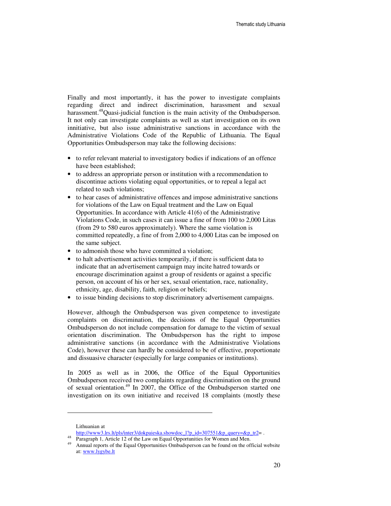Finally and most importantly, it has the power to investigate complaints regarding direct and indirect discrimination, harassment and sexual harassment.<sup>48</sup>Quasi-judicial function is the main activity of the Ombudsperson. It not only can investigate complaints as well as start investigation on its own innitiative, but also issue administrative sanctions in accordance with the Administrative Violations Code of the Republic of Lithuania. The Equal Opportunities Ombudsperson may take the following decisions:

- to refer relevant material to investigatory bodies if indications of an offence have been established;
- to address an appropriate person or institution with a recommendation to discontinue actions violating equal opportunities, or to repeal a legal act related to such violations;
- to hear cases of administrative offences and impose administrative sanctions for violations of the Law on Equal treatment and the Law on Equal Opportunities. In accordance with Article 41(6) of the Administrative Violations Code, in such cases it can issue a fine of from 100 to 2,000 Litas (from 29 to 580 euros approximately). Where the same violation is committed repeatedly, a fine of from 2,000 to 4,000 Litas can be imposed on the same subject.
- to admonish those who have committed a violation;
- to halt advertisement activities temporarily, if there is sufficient data to indicate that an advertisement campaign may incite hatred towards or encourage discrimination against a group of residents or against a specific person, on account of his or her sex, sexual orientation, race, nationality, ethnicity, age, disability, faith, religion or beliefs;
- to issue binding decisions to stop discriminatory advertisement campaigns.

However, although the Ombudsperson was given competence to investigate complaints on discrimination, the decisions of the Equal Opportunities Ombudsperson do not include compensation for damage to the victim of sexual orientation discrimination. The Ombudsperson has the right to impose administrative sanctions (in accordance with the Administrative Violations Code), however these can hardly be considered to be of effective, proportionate and dissuasive character (especially for large companies or institutions).

In 2005 as well as in 2006, the Office of the Equal Opportunities Ombudsperson received two complaints regarding discrimination on the ground of sexual orientation.<sup>49</sup> In 2007, the Office of the Ombudsperson started one investigation on its own initiative and received 18 complaints (mostly these

Lithuanian at

http://www3.lrs.lt/pls/inter3/dokpaieska.showdoc\_l?p\_id=307551&p\_query=&p\_tr2= .

Paragraph 1, Article 12 of the Law on Equal Opportunities for Women and Men.

Annual reports of the Equal Opportunities Ombudsperson can be found on the official website at: www.lygybe.lt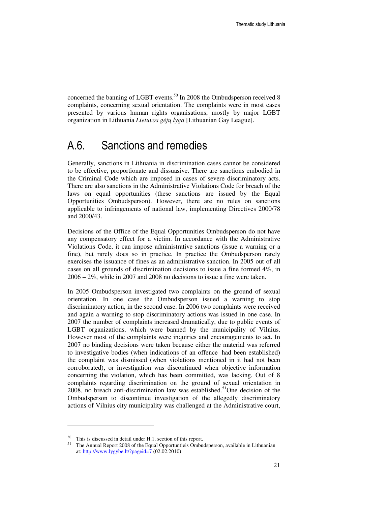concerned the banning of LGBT events.<sup>50</sup> In 2008 the Ombudsperson received 8 complaints, concerning sexual orientation. The complaints were in most cases presented by various human rights organisations, mostly by major LGBT organization in Lithuania *Lietuvos g*ė*j*ų *lyga* [Lithuanian Gay League].

### A.6. Sanctions and remedies

Generally, sanctions in Lithuania in discrimination cases cannot be considered to be effective, proportionate and dissuasive. There are sanctions embodied in the Criminal Code which are imposed in cases of severe discriminatory acts. There are also sanctions in the Administrative Violations Code for breach of the laws on equal opportunities (these sanctions are issued by the Equal Opportunities Ombudsperson). However, there are no rules on sanctions applicable to infringements of national law, implementing Directives 2000/78 and 2000/43.

Decisions of the Office of the Equal Opportunities Ombudsperson do not have any compensatory effect for a victim. In accordance with the Administrative Violations Code, it can impose administrative sanctions (issue a warning or a fine), but rarely does so in practice. In practice the Ombudsperson rarely exercises the issuance of fines as an administrative sanction. In 2005 out of all cases on all grounds of discrimination decisions to issue a fine formed 4%, in 2006 – 2%, while in 2007 and 2008 no decisions to issue a fine were taken.

In 2005 Ombudsperson investigated two complaints on the ground of sexual orientation. In one case the Ombudsperson issued a warning to stop discriminatory action, in the second case. In 2006 two complaints were received and again a warning to stop discriminatory actions was issued in one case. In 2007 the number of complaints increased dramatically, due to public events of LGBT organizations, which were banned by the municipality of Vilnius. However most of the complaints were inquiries and encouragements to act. In 2007 no binding decisions were taken because either the material was referred to investigative bodies (when indications of an offence had been established) the complaint was dismissed (when violations mentioned in it had not been corroborated), or investigation was discontinued when objective information concerning the violation, which has been committed, was lacking. Out of 8 complaints regarding discrimination on the ground of sexual orientation in 2008, no breach anti-discrimination law was established.<sup>51</sup>One decision of the Ombudsperson to discontinue investigation of the allegedly discriminatory actions of Vilnius city municipality was challenged at the Administrative court,

<sup>&</sup>lt;sup>50</sup> This is discussed in detail under H.1. section of this report.<br><sup>51</sup> The Annual Benort 2008 of the Equal Opportunities Ombu-

<sup>51</sup> The Annual Report 2008 of the Equal Opportuntieis Ombudsperson, available in Lithuanian at: http://www.lygybe.lt/?pageid=7 (02.02.2010)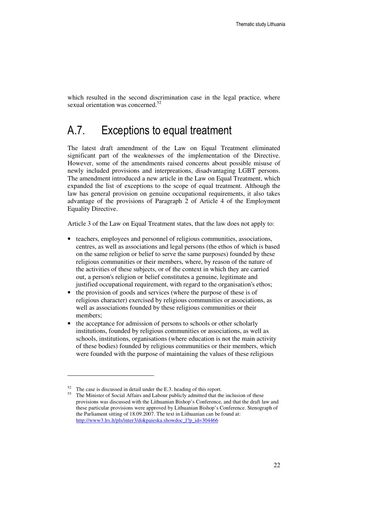which resulted in the second discrimination case in the legal practice, where sexual orientation was concerned.<sup>52</sup>

### A.7. Exceptions to equal treatment

The latest draft amendment of the Law on Equal Treatment eliminated significant part of the weaknesses of the implementation of the Directive. However, some of the amendments raised concerns about possible misuse of newly included provisions and interpreations, disadvantaging LGBT persons. The amendment introduced a new article in the Law on Equal Treatment, which expanded the list of exceptions to the scope of equal treatment. Although the law has general provision on genuine occupational requirements, it also takes advantage of the provisions of Paragraph 2 of Article 4 of the Employment Equality Directive.

Article 3 of the Law on Equal Treatment states, that the law does not apply to:

- teachers, employees and personnel of religious communities, associations, centres, as well as associations and legal persons (the ethos of which is based on the same religion or belief to serve the same purposes) founded by these religious communities or their members, where, by reason of the nature of the activities of these subjects, or of the context in which they are carried out, a person's religion or belief constitutes a genuine, legitimate and justified occupational requirement, with regard to the organisation's ethos;
- the provision of goods and services (where the purpose of these is of religious character) exercised by religious communities or associations, as well as associations founded by these religious communities or their members;
- the acceptance for admission of persons to schools or other scholarly institutions, founded by religious communities or associations, as well as schools, institutions, organisations (where education is not the main activity of these bodies) founded by religious communities or their members, which were founded with the purpose of maintaining the values of these religious

 $52$  The case is discussed in detail under the E.3. heading of this report.

The Minister of Social Affairs and Labour publicly admitted that the inclusion of these provisions was discussed with the Lithuanian Bishop's Conference, and that the draft law and these particular provisions were approved by Lithuanian Bishop's Conference. Stenograph of the Parliament sitting of 18.09.2007. The text in Lithuanian can be found at: http://www3.lrs.lt/pls/inter3/dokpaieska.showdoc\_l?p\_id=304466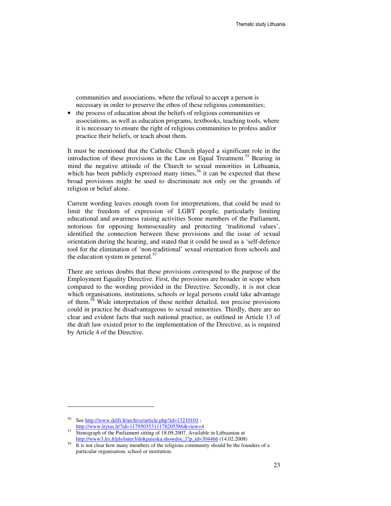communities and associations, where the refusal to accept a person is necessary in order to preserve the ethos of these religious communities;

• the process of education about the beliefs of religious communities or associations, as well as education programs, textbooks, teaching tools, where it is necessary to ensure the right of religious communities to profess and/or practice their beliefs, or teach about them.

It must be mentioned that the Catholic Church played a significant role in the introduction of these provisions in the Law on Equal Treatment.<sup>55</sup> Bearing in mind the negative attitude of the Church to sexual minorities in Lithuania, which has been publicly expressed many times,  $56$  it can be expected that these broad provisions might be used to discriminate not only on the grounds of religion or belief alone.

Current wording leaves enough room for interpretations, that could be used to limit the freedom of expression of LGBT people, particularly limiting educational and awareness raising activities Some members of the Parliament, notorious for opposing homosexuality and protecting 'traditional values', identified the connection between these provisions and the issue of sexual orientation during the hearing, and stated that it could be used as a 'self-defence tool for the elimination of 'non-traditional' sexual orientation from schools and the education system in general. $57$ 

There are serious doubts that these provisions correspond to the purpose of the Employment Equality Directive. First, the provisions are broader in scope when compared to the wording provided in the Directive. Secondly, it is not clear which organisations, institutions, schools or legal persons could take advantage of them.<sup>58</sup> Wide interpretation of these neither detailed, nor precise provisions could in practice be disadvantageous to sexual minorities. Thirdly, there are no clear and evident facts that such national practice, as outlined in Article 13 of the draft law existed prior to the implementation of the Directive, as is required by Article 4 of the Directive.

<sup>56</sup> See http://www.delfi.lt/archive/article.php?id=13210101 ; http://www.lrytas.lt/?id=11795035311178205586&view=4

<sup>&</sup>lt;sup>57</sup> Stenograph of the Parliament sitting of 18.09.2007. Available in Lithuanian at http://www3.lrs.lt/pls/inter3/dokpaieska.showdoc\_l?p\_id=304466 (14.02.2008)

It is not clear how many members of the religious community should be the founders of a particular organisation, school or institution.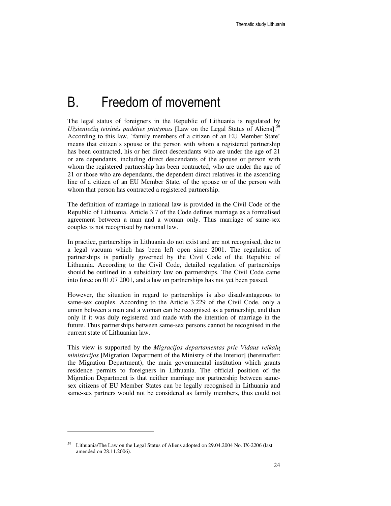## B. Freedom of movement

The legal status of foreigners in the Republic of Lithuania is regulated by *Užsieniečių teisinės padėties įstatymas* [Law on the Legal Status of Aliens].<sup>59</sup> According to this law, 'family members of a citizen of an EU Member State' means that citizen's spouse or the person with whom a registered partnership has been contracted, his or her direct descendants who are under the age of 21 or are dependants, including direct descendants of the spouse or person with whom the registered partnership has been contracted, who are under the age of 21 or those who are dependants, the dependent direct relatives in the ascending line of a citizen of an EU Member State, of the spouse or of the person with whom that person has contracted a registered partnership.

The definition of marriage in national law is provided in the Civil Code of the Republic of Lithuania. Article 3.7 of the Code defines marriage as a formalised agreement between a man and a woman only. Thus marriage of same-sex couples is not recognised by national law.

In practice, partnerships in Lithuania do not exist and are not recognised, due to a legal vacuum which has been left open since 2001. The regulation of partnerships is partially governed by the Civil Code of the Republic of Lithuania. According to the Civil Code, detailed regulation of partnerships should be outlined in a subsidiary law on partnerships. The Civil Code came into force on 01.07 2001, and a law on partnerships has not yet been passed.

However, the situation in regard to partnerships is also disadvantageous to same-sex couples. According to the Article 3.229 of the Civil Code, only a union between a man and a woman can be recognised as a partnership, and then only if it was duly registered and made with the intention of marriage in the future. Thus partnerships between same-sex persons cannot be recognised in the current state of Lithuanian law.

This view is supported by the *Migracijos departamentas prie Vidaus reikal*ų *ministerijos* [Migration Department of the Ministry of the Interior] (hereinafter: the Migration Department), the main governmental institution which grants residence permits to foreigners in Lithuania. The official position of the Migration Department is that neither marriage nor partnership between samesex citizens of EU Member States can be legally recognised in Lithuania and same-sex partners would not be considered as family members, thus could not

Lithuania/The Law on the Legal Status of Aliens adopted on 29.04.2004 No. IX-2206 (last amended on 28.11.2006).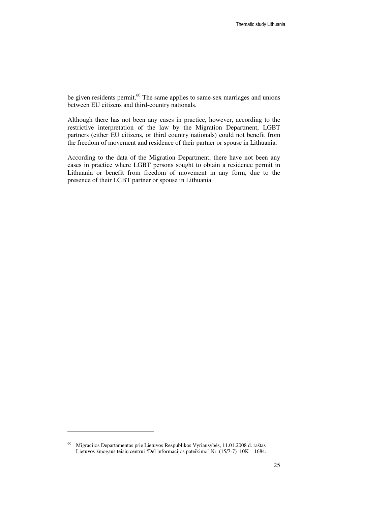be given residents permit.<sup>60</sup> The same applies to same-sex marriages and unions between EU citizens and third-country nationals.

Although there has not been any cases in practice, however, according to the restrictive interpretation of the law by the Migration Department, LGBT partners (either EU citizens, or third country nationals) could not benefit from the freedom of movement and residence of their partner or spouse in Lithuania.

According to the data of the Migration Department, there have not been any cases in practice where LGBT persons sought to obtain a residence permit in Lithuania or benefit from freedom of movement in any form, due to the presence of their LGBT partner or spouse in Lithuania.

<sup>60</sup> Migracijos Departamentas prie Lietuvos Respublikos Vyriausybės, 11.01.2008 d. raštas Lietuvos žmogaus teisių centrui 'Dėl informacijos pateikimo' Nr. (15/7-7) 10K – 1684.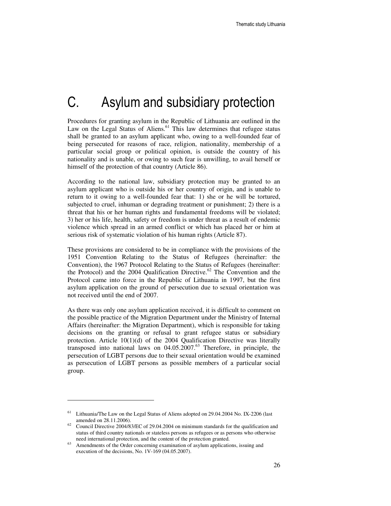# C. Asylum and subsidiary protection

Procedures for granting asylum in the Republic of Lithuania are outlined in the Law on the Legal Status of Aliens.<sup>61</sup> This law determines that refugee status shall be granted to an asylum applicant who, owing to a well-founded fear of being persecuted for reasons of race, religion, nationality, membership of a particular social group or political opinion, is outside the country of his nationality and is unable, or owing to such fear is unwilling, to avail herself or himself of the protection of that country (Article 86).

According to the national law, subsidiary protection may be granted to an asylum applicant who is outside his or her country of origin, and is unable to return to it owing to a well-founded fear that: 1) she or he will be tortured, subjected to cruel, inhuman or degrading treatment or punishment; 2) there is a threat that his or her human rights and fundamental freedoms will be violated; 3) her or his life, health, safety or freedom is under threat as a result of endemic violence which spread in an armed conflict or which has placed her or him at serious risk of systematic violation of his human rights (Article 87).

These provisions are considered to be in compliance with the provisions of the 1951 Convention Relating to the Status of Refugees (hereinafter: the Convention), the 1967 Protocol Relating to the Status of Refugees (hereinafter: the Protocol) and the  $2004$  Qualification Directive.<sup>62</sup> The Convention and the Protocol came into force in the Republic of Lithuania in 1997, but the first asylum application on the ground of persecution due to sexual orientation was not received until the end of 2007.

As there was only one asylum application received, it is difficult to comment on the possible practice of the Migration Department under the Ministry of Internal Affairs (hereinafter: the Migration Department), which is responsible for taking decisions on the granting or refusal to grant refugee status or subsidiary protection. Article 10(1)(d) of the 2004 Qualification Directive was literally transposed into national laws on 04.05.2007.<sup>63</sup> Therefore, in principle, the persecution of LGBT persons due to their sexual orientation would be examined as persecution of LGBT persons as possible members of a particular social group.

<sup>&</sup>lt;sup>61</sup> Lithuania/The Law on the Legal Status of Aliens adopted on 29.04.2004 No. IX-2206 (last amended on 28.11.2006).

 $62$  Council Directive 2004/83/EC of 29.04.2004 on minimum standards for the qualification and status of third country nationals or stateless persons as refugees or as persons who otherwise need international protection, and the content of the protection granted.

Amendments of the Order concerning examination of asylum applications, issuing and execution of the decisions, No. 1V-169 (04.05.2007).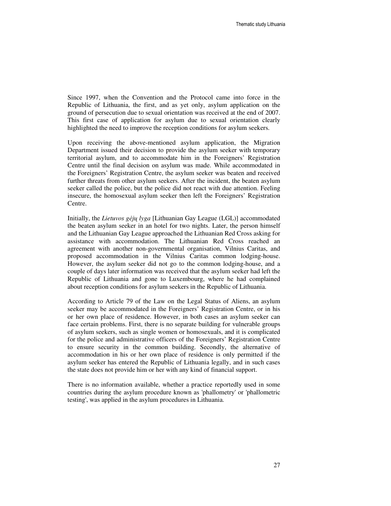Since 1997, when the Convention and the Protocol came into force in the Republic of Lithuania, the first, and as yet only, asylum application on the ground of persecution due to sexual orientation was received at the end of 2007. This first case of application for asylum due to sexual orientation clearly highlighted the need to improve the reception conditions for asylum seekers.

Upon receiving the above-mentioned asylum application, the Migration Department issued their decision to provide the asylum seeker with temporary territorial asylum, and to accommodate him in the Foreigners' Registration Centre until the final decision on asylum was made. While accommodated in the Foreigners' Registration Centre, the asylum seeker was beaten and received further threats from other asylum seekers. After the incident, the beaten asylum seeker called the police, but the police did not react with due attention. Feeling insecure, the homosexual asylum seeker then left the Foreigners' Registration Centre.

Initially, the *Lietuvos g*ė*j*ų *lyga* [Lithuanian Gay League (LGL)] accommodated the beaten asylum seeker in an hotel for two nights. Later, the person himself and the Lithuanian Gay League approached the Lithuanian Red Cross asking for assistance with accommodation. The Lithuanian Red Cross reached an agreement with another non-governmental organisation, Vilnius Caritas, and proposed accommodation in the Vilnius Caritas common lodging-house. However, the asylum seeker did not go to the common lodging-house, and a couple of days later information was received that the asylum seeker had left the Republic of Lithuania and gone to Luxembourg, where he had complained about reception conditions for asylum seekers in the Republic of Lithuania.

According to Article 79 of the Law on the Legal Status of Aliens, an asylum seeker may be accommodated in the Foreigners' Registration Centre, or in his or her own place of residence. However, in both cases an asylum seeker can face certain problems. First, there is no separate building for vulnerable groups of asylum seekers, such as single women or homosexuals, and it is complicated for the police and administrative officers of the Foreigners' Registration Centre to ensure security in the common building. Secondly, the alternative of accommodation in his or her own place of residence is only permitted if the asylum seeker has entered the Republic of Lithuania legally, and in such cases the state does not provide him or her with any kind of financial support.

There is no information available, whether a practice reportedly used in some countries during the asylum procedure known as 'phallometry' or 'phallometric testing', was applied in the asylum procedures in Lithuania.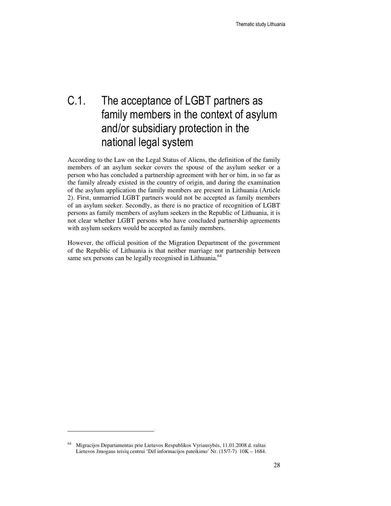## C.1. The acceptance of LGBT partners as family members in the context of asylum and/or subsidiary protection in the national legal system

According to the Law on the Legal Status of Aliens, the definition of the family members of an asylum seeker covers the spouse of the asylum seeker or a person who has concluded a partnership agreement with her or him, in so far as the family already existed in the country of origin, and during the examination of the asylum application the family members are present in Lithuania (Article 2). First, unmarried LGBT partners would not be accepted as family members of an asylum seeker. Secondly, as there is no practice of recognition of LGBT persons as family members of asylum seekers in the Republic of Lithuania, it is not clear whether LGBT persons who have concluded partnership agreements with asylum seekers would be accepted as family members.

However, the official position of the Migration Department of the government of the Republic of Lithuania is that neither marriage nor partnership between same sex persons can be legally recognised in Lithuania.<sup>64</sup>

<sup>64</sup> Migracijos Departamentas prie Lietuvos Respublikos Vyriausybės, 11.01.2008 d. raštas Lietuvos žmogaus teisių centrui 'Dėl informacijos pateikimo' Nr. (15/7-7) 10K – 1684.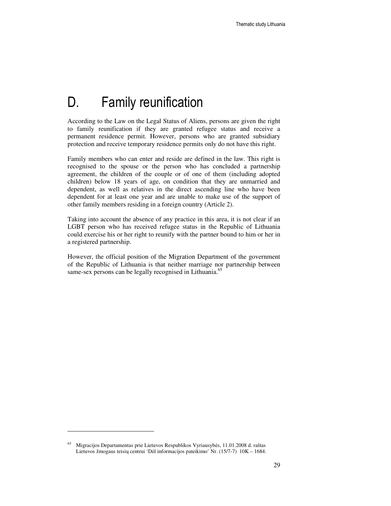# D. Family reunification

According to the Law on the Legal Status of Aliens, persons are given the right to family reunification if they are granted refugee status and receive a permanent residence permit. However, persons who are granted subsidiary protection and receive temporary residence permits only do not have this right.

Family members who can enter and reside are defined in the law. This right is recognised to the spouse or the person who has concluded a partnership agreement, the children of the couple or of one of them (including adopted children) below 18 years of age, on condition that they are unmarried and dependent, as well as relatives in the direct ascending line who have been dependent for at least one year and are unable to make use of the support of other family members residing in a foreign country (Article 2).

Taking into account the absence of any practice in this area, it is not clear if an LGBT person who has received refugee status in the Republic of Lithuania could exercise his or her right to reunify with the partner bound to him or her in a registered partnership.

However, the official position of the Migration Department of the government of the Republic of Lithuania is that neither marriage nor partnership between same-sex persons can be legally recognised in Lithuania.<sup>65</sup>

<sup>65</sup> Migracijos Departamentas prie Lietuvos Respublikos Vyriausybės, 11.01.2008 d. raštas Lietuvos žmogaus teisių centrui 'Dėl informacijos pateikimo' Nr. (15/7-7) 10K – 1684.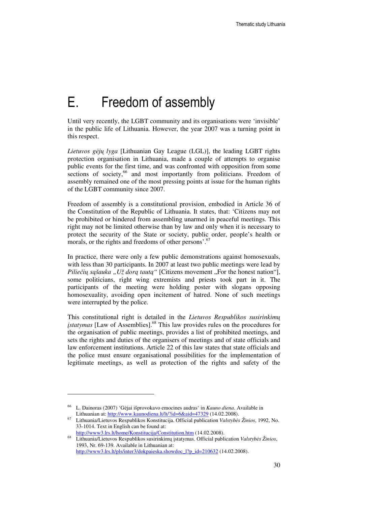# E. Freedom of assembly

Until very recently, the LGBT community and its organisations were 'invisible' in the public life of Lithuania. However, the year 2007 was a turning point in this respect.

*Lietuvos g*ė*j*ų *lyga* [Lithuanian Gay League (LGL)], the leading LGBT rights protection organisation in Lithuania, made a couple of attempts to organise public events for the first time, and was confronted with opposition from some sections of society,<sup>66</sup> and most importantly from politicians. Freedom of assembly remained one of the most pressing points at issue for the human rights of the LGBT community since 2007.

Freedom of assembly is a constitutional provision, embodied in Article 36 of the Constitution of the Republic of Lithuania. It states, that: 'Citizens may not be prohibited or hindered from assembling unarmed in peaceful meetings. This right may not be limited otherwise than by law and only when it is necessary to protect the security of the State or society, public order, people's health or morals, or the rights and freedoms of other persons'.<sup>67</sup>

In practice, there were only a few public demonstrations against homosexuals, with less than 30 participants. In 2007 at least two public meetings were lead by *Piliečių sąšauka* "Už dorą tautą" [Citizens movement "For the honest nation"], some politicians, right wing extremists and priests took part in it. The participants of the meeting were holding poster with slogans opposing homosexuality, avoiding open incitement of hatred. None of such meetings were interrupted by the police.

This constitutional right is detailed in the *Lietuvos Respublikos susirinkim*ų į*statymas* [Law of Assemblies].<sup>68</sup> This law provides rules on the procedures for the organisation of public meetings, provides a list of prohibited meetings, and sets the rights and duties of the organisers of meetings and of state officials and law enforcement institutions. Article 22 of this law states that state officials and the police must ensure organisational possibilities for the implementation of legitimate meetings, as well as protection of the rights and safety of the

<sup>66</sup> L. Dainoras (2007) 'Gėjai išprovokavo emocines audras' in *Kauno diena*. Available in Lithuanian at: http://www.kaunodiena.lt/lt/?id=6&aid=47329 (14.02.2008).

<sup>67</sup> Lithuania/Lietuvos Respublikos Konstitucija. Official publication *Valstyb*ė*s Žinios*, 1992, No. 33-1014. Text in English can be found at: http://www3.lrs.lt/home/Konstitucija/Constitution.htm (14.02.2008).

<sup>68</sup> Lithuania/Lietuvos Respublikos susirinkimų įstatymas. Official publication *Valstyb*ė*s Žinios*, 1993, Nr. 69-139. Available in Lithuanian at: http://www3.lrs.lt/pls/inter3/dokpaieska.showdoc\_l?p\_id=210632 (14.02.2008).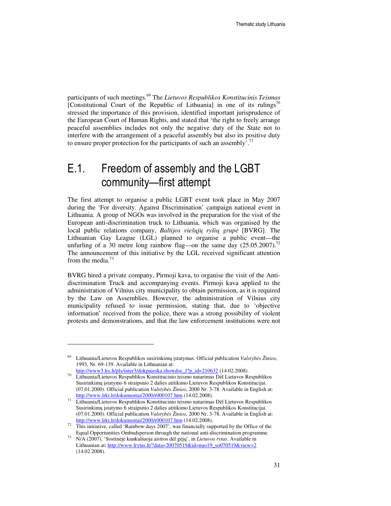participants of such meetings.<sup>69</sup> The *Lietuvos Respublikos Konstitucinis Teismas* [Constitutional Court of the Republic of Lithuania] in one of its rulings<sup>70</sup> stressed the importance of this provision, identified important jurisprudence of the European Court of Human Rights, and stated that 'the right to freely arrange peaceful assemblies includes not only the negative duty of the State not to interfere with the arrangement of a peaceful assembly but also its positive duty to ensure proper protection for the participants of such an assembly'.<sup>71</sup>

## E.1. Freedom of assembly and the LGBT community—first attempt

The first attempt to organise a public LGBT event took place in May 2007 during the 'For diversity. Against Discrimination' campaign national event in Lithuania. A group of NGOs was involved in the preparation for the visit of the European anti-discrimination truck to Lithuania, which was organised by the local public relations company, *Baltijos vieš*ų*j*ų *ryši*ų *grup*ė [BVRG]. The Lithuanian Gay League (LGL) planned to organise a public event—the unfurling of a 30 metre long rainbow flag—on the same day  $(25.05.2007)^{12}$ The announcement of this initiative by the LGL received significant attention from the media. $73$ 

BVRG hired a private company, Pirmoji kava, to organise the visit of the Antidiscrimination Truck and accompanying events. Pirmoji kava applied to the administration of Vilnius city municipality to obtain permission, as it is required by the Law on Assemblies. However, the administration of Vilnius city municipality refused to issue permission, stating that, due to 'objective information' received from the police, there was a strong possibility of violent protests and demonstrations, and that the law enforcement institutions were not

<sup>69</sup> Lithuania/Lietuvos Respublikos susirinkimų įstatymas. Official publication *Valstyb*ė*s Žinios*, 1993, Nr. 69-139. Available in Lithuanian at:

http://www3.lrs.lt/pls/inter3/dokpaieska.showdoc\_l?p\_id=210632 (14.02.2008). <sup>70</sup> Lithuania/Lietuvos Respublikos Konstitucinio teismo nutarimas Dėl Lietuvos Respublikos Susirinkimų įstatymo 6 straipsnio 2 dalies atitikimo Lietuvos Respublikos Konstitucijai. (07.01.2000). Official publication *Valstyb*ė*s Žinios*, 2000 Nr. 3-78. Available in English at: http://www.lrkt.lt/dokumentai/2000/r000107.htm (14.02.2008).

<sup>71</sup> Lithuania/Lietuvos Respublikos Konstitucinio teismo nutarimas Dėl Lietuvos Respublikos Susirinkimų įstatymo 6 straipsnio 2 dalies atitikimo Lietuvos Respublikos Konstitucijai. (07.01.2000). Official publication *Valstyb*ė*s Žinios*, 2000 Nr. 3-78. Available in English at: http://www.lrkt.lt/dokumentai/2000/r000107.htm (14.02.2008).

<sup>72</sup> This initiative, called 'Rainbow days 2007', was financially supported by the Office of the Equal Opportunities Ombudsperson through the national anti-discrimination programme.

<sup>73</sup> N/A (2007), 'Sostinėje kunkuliuoja aistros dėl gėjų', in *Lietuvos rytas*. Available in Lithuanian at: http://www.lrytas.lt/?data=20070519&id=nuo19\_so070519&view=2 (14.02.2008).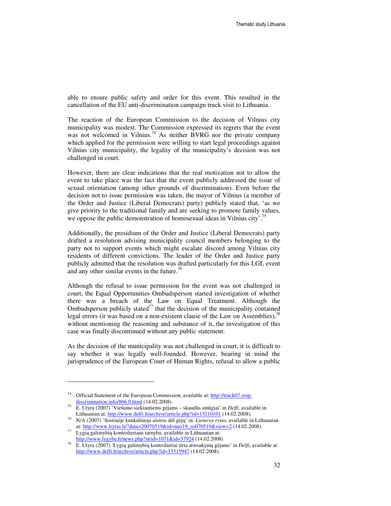able to ensure public safety and order for this event. This resulted in the cancellation of the EU anti-discrimination campaign truck visit to Lithuania.

The reaction of the European Commission to the decision of Vilnius city municipality was modest. The Commission expressed its regrets that the event was not welcomed in Vilnius.<sup>74</sup> As neither BVRG nor the private company which applied for the permission were willing to start legal proceedings against Vilnius city municipality, the legality of the municipality's decision was not challenged in court.

However, there are clear indications that the real motivation not to allow the event to take place was the fact that the event publicly addressed the issue of sexual orientation (among other grounds of discrimination). Even before the decision not to issue permission was taken, the mayor of Vilnius (a member of the Order and Justice (Liberal Democrats) party) publicly stated that, 'as we give priority to the traditional family and are seeking to promote family values, we oppose the public demonstration of homosexual ideas in Vilnius city'.<sup>75</sup>

Additionally, the presidium of the Order and Justice (Liberal Democrats) party drafted a resolution advising municipality council members belonging to the party not to support events which might escalate discord among Vilnius city residents of different convictions. The leader of the Order and Justice party publicly admitted that the resolution was drafted particularly for this LGL event and any other similar events in the future.<sup>76</sup>

Although the refusal to issue permission for the event was not challenged in court, the Equal Opportunities Ombudsperson started investigation of whether there was a breach of the Law on Equal Treatment. Although the Ombudsperson publicly stated<sup>77</sup> that the decision of the municipality contained legal errors (it was based on a non-existent clause of the Law on Assemblies),  $^{78}$ without mentioning the reasoning and substance of it, the investigation of this case was finally discontinued without any public statement.

As the decision of the municipality was not challenged in court, it is difficult to say whether it was legally well-founded. However, bearing in mind the jurisprudence of the European Court of Human Rights, refusal to allow a public

<sup>&</sup>lt;sup>74</sup> Official Statement of the European Commission, available at: http://truck07.stopdiscrimination.info/866.0.html (14.02.2008).

<sup>75</sup> E. Utyra (2007) 'Viešumo siekiantiems gėjams – skaudūs smūgiai' in *Delfi*, available in Lithuanian at: http://www.delfi.lt/archive/article.php?id=13210101 (14.02.2008).

<sup>76</sup> N/A (2007) 'Sostinėje kunkuliuoja aistros dėl gėjų' in: *Lietuvos rytas*, available in Lithuanian at: http://www.lrytas.lt/?data=20070519&id=nuo19\_so070519&view=2 (14.02.2008).

<sup>77</sup> Lygių galimybių kontrolieriaus tarnyba, available in Lithuanian at: http://www.lygybe.lt/news.php?strid=1071&id=37924 (14.02.2008)

<sup>78</sup> E. Utyra (2007) 'Lygių galimybių kontrolieriai tiria atwsakymą gėjams' in *Delfi*, available at: http://www.delfi.lt/archive/article.php?id=13315947 (14.02.2008).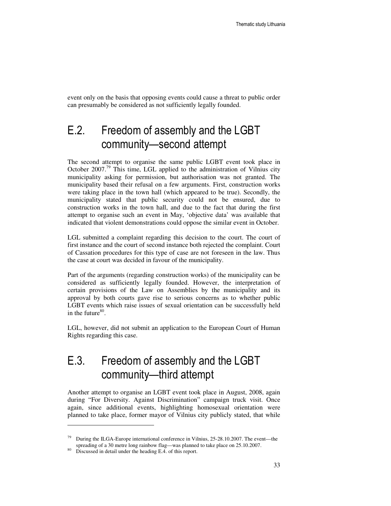event only on the basis that opposing events could cause a threat to public order can presumably be considered as not sufficiently legally founded.

## E.2. Freedom of assembly and the LGBT community—second attempt

The second attempt to organise the same public LGBT event took place in October 2007.<sup>79</sup> This time, LGL applied to the administration of Vilnius city municipality asking for permission, but authorisation was not granted. The municipality based their refusal on a few arguments. First, construction works were taking place in the town hall (which appeared to be true). Secondly, the municipality stated that public security could not be ensured, due to construction works in the town hall, and due to the fact that during the first attempt to organise such an event in May, 'objective data' was available that indicated that violent demonstrations could oppose the similar event in October.

LGL submitted a complaint regarding this decision to the court. The court of first instance and the court of second instance both rejected the complaint. Court of Cassation procedures for this type of case are not foreseen in the law. Thus the case at court was decided in favour of the municipality.

Part of the arguments (regarding construction works) of the municipality can be considered as sufficiently legally founded. However, the interpretation of certain provisions of the Law on Assemblies by the municipality and its approval by both courts gave rise to serious concerns as to whether public LGBT events which raise issues of sexual orientation can be successfully held in the future $80$ .

LGL, however, did not submit an application to the European Court of Human Rights regarding this case.

## E.3. Freedom of assembly and the LGBT community—third attempt

Another attempt to organise an LGBT event took place in August, 2008, again during "For Diversity. Against Discrimination" campaign truck visit. Once again, since additional events, highlighting homosexual orientation were planned to take place, former mayor of Vilnius city publicly stated, that while

<sup>&</sup>lt;sup>79</sup> During the ILGA-Europe international conference in Vilnius, 25-28.10.2007. The event—the spreading of a 30 metre long rainbow flag—was planned to take place on 25.10.2007.

<sup>&</sup>lt;sup>80</sup> Discussed in detail under the heading E.4. of this report.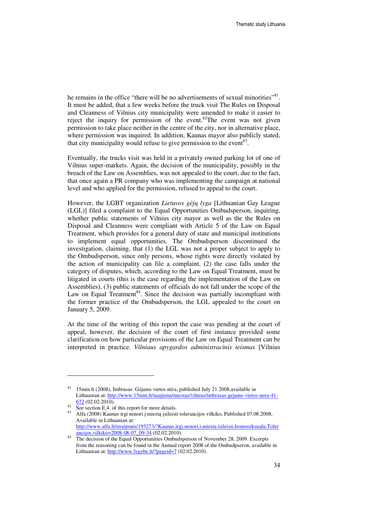he remains in the office "there will be no advertisements of sexual minorities"<sup>81</sup>. It must be added, that a few weeks before the truck visit The Rules on Disposal and Cleanness of Vilnius city municipality were amended to make it easier to reject the inquiry for permission of the event.<sup>82</sup>The event was not given permission to take place neither in the centre of the city, nor in alternative place, where permission was inquired. In addition, Kaunas mayor also publicly stated, that city municipality would refuse to give permission to the event  $83$ .

Eventually, the trucks visit was held in a privately owned parking lot of one of Vilnius super-markets. Again, the decision of the municipality, possibly in the breach of the Law on Assemblies, was not appealed to the court, due to the fact, that once again a PR company who was implementing the campaign at national level and who applied for the permission, refused to appeal to the court.

However, the LGBT organization *Lietuvos g*ė*j*ų *lyga* [Lithuanian Gay League (LGL)] filed a complaint to the Equal Opportunities Ombudsperson, inquiring, whether public statements of Vilnius city mayor as well as the the Rules on Disposal and Cleanness were compliant with Article 5 of the Law on Equal Treatment, which provides for a general duty of state and municipal institutions to implement equal opportunities. The Ombudsperson discontinued the investigation, claiming, that (1) the LGL was not a proper subject to apply to the Ombudsperson, since only persons, whose rights were directly violated by the action of municipality can file a complaint, (2) the case falls under the category of disputes, which, according to the Law on Equal Treatment, must be litigated in courts (this is the case regarding the implementation of the Law on Assemblies), (3) public statements of officials do not fall under the scope of the Law on Equal Treatment<sup>84</sup>. Since the decision was partially incompliant with the former practice of the Ombudsperson, the LGL appealed to the court on January 5, 2009.

At the time of the writing of this report the case was pending at the court of appeal, however, the decision of the court of first instance provided some clarification on how particular provisions of the Law on Equal Treatment can be interpreted in practice. *Vilniaus apygardos administracinis teismas* [Vilnius

<sup>81</sup> 15min.lt (2008), Imbrasas: Gėjams vietos nėra, published July 21 2008,available in Lithuanian at: http://www.15min.lt/naujiena/miestas/vilnius/imbrasas-gejams-vietos-nera-41- 672 (02.02.2010).

 $82 \text{ See section E.4.}$  of this report for more details.

<sup>83</sup> Alfa (2008) Kaunas irgi nenori į miestą įsileisti tolerancijos vilkiko, Published 07.08.2008, Available in Lithuanian at: http://www.alfa.lt/straipsnis/193273/?Kaunas.irgi.nenori.i.miesta.isileisti.homoseksualu.Toler ancijos.vilkiko=2008-08-07\_09-34 (02.02.2010).

The decision of the Equal Opportunities Ombudsperson of November 28, 2009. Excerpts from the reasoning can be found in the Annual report 2008 of the Ombudpseron, available in Lithuanian at: http://www.lygybe.lt/?pageid=7 (02.02.2010).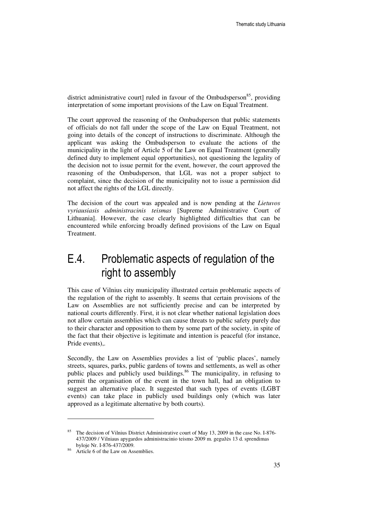district administrative court] ruled in favour of the Ombudsperson<sup>85</sup>, providing interpretation of some important provisions of the Law on Equal Treatment.

The court approved the reasoning of the Ombudsperson that public statements of officials do not fall under the scope of the Law on Equal Treatment, not going into details of the concept of instructions to discriminate. Although the applicant was asking the Ombudsperson to evaluate the actions of the municipality in the light of Article 5 of the Law on Equal Treatment (generally defined duty to implement equal opportunities), not questioning the legality of the decision not to issue permit for the event, however, the court approved the reasoning of the Ombudsperson, that LGL was not a proper subject to complaint, since the decision of the municipality not to issue a permission did not affect the rights of the LGL directly.

The decision of the court was appealed and is now pending at the *Lietuvos vyriausiasis administracinis teismas* [Supreme Administrative Court of Lithuania]. However, the case clearly highlighted difficulties that can be encountered while enforcing broadly defined provisions of the Law on Equal Treatment.

## E.4. Problematic aspects of regulation of the right to assembly

This case of Vilnius city municipality illustrated certain problematic aspects of the regulation of the right to assembly. It seems that certain provisions of the Law on Assemblies are not sufficiently precise and can be interpreted by national courts differently. First, it is not clear whether national legislation does not allow certain assemblies which can cause threats to public safety purely due to their character and opposition to them by some part of the society, in spite of the fact that their objective is legitimate and intention is peaceful (for instance, Pride events),.

Secondly, the Law on Assemblies provides a list of 'public places', namely streets, squares, parks, public gardens of towns and settlements, as well as other public places and publicly used buildings.<sup>86</sup> The municipality, in refusing to permit the organisation of the event in the town hall, had an obligation to suggest an alternative place. It suggested that such types of events (LGBT events) can take place in publicly used buildings only (which was later approved as a legitimate alternative by both courts).

The decision of Vilnius District Administrative court of May 13, 2009 in the case No. I-876-437/2009 / Vilniaus apygardos administracinio teismo 2009 m. gegužės 13 d. sprendimas byloje Nr. I-876-437/2009.

<sup>86</sup> Article 6 of the Law on Assemblies.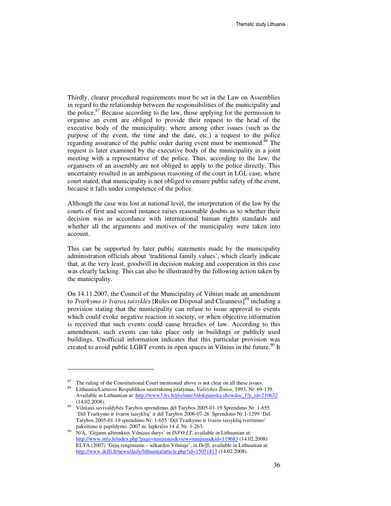Thirdly, clearer procedural requirements must be set in the Law on Assemblies in regard to the relationship between the responsibilities of the municipality and the police. $87$  Because according to the law, those applying for the permission to organise an event are obliged to provide their request to the head of the executive body of the municipality, where among other issues (such as the purpose of the event, the time and the date, etc.) a request to the police regarding assurance of the public order during event must be mentioned.<sup>88</sup> The request is later examined by the executive body of the municipality in a joint meeting with a representative of the police. Thus, according to the law, the organisers of an assembly are not obliged to apply to the police directly. This uncertainty resulted in an ambiguous reasoning of the court in LGL case, where court stated, that municipality is not obliged to ensure public safety of the event, because it falls under competence of the police.

Although the case was lost at national level, the interpretation of the law by the courts of first and second instance raises reasonable doubts as to whether their decision was in accordance with international human rights standards and whether all the arguments and motives of the municipality were taken into account.

This can be supported by later public statements made by the municipality administration officials about 'traditional family values', which clearly indicate that, at the very least, goodwill in decision making and cooperation in this case was clearly lacking. This can also be illustrated by the following action taken by the municipality.

On 14.11.2007, the Council of the Municipality of Vilnius made an amendment to *Tvarkymo ir švaros taisyklės* [Rules on Disposal and Cleanness]<sup>89</sup> including a provision stating that the municipality can refuse to issue approval to events which could evoke negative reaction in society, or when objective information is received that such events could cause breaches of law. According to this amendment, such events can take place only in buildings or publicly used buildings. Unofficial information indicates that this particular provision was created to avoid public LGBT events in open spaces in Vilnius in the future.<sup>90</sup> It

<sup>&</sup>lt;sup>87</sup> The ruling of the Constitutional Court mentioned above is not clear on all these issues.

<sup>88</sup> Lithuania/Lietuvos Respublikos susirinkimų įstatymas. *Valstyb*ė*s Žinios*, 1993, Nr. 69-139. Available in Lithuanian at: http://www3.lrs.lt/pls/inter3/dokpaieska.showdoc\_l?p\_id=210632 (14.02.2008).

<sup>89</sup> Vilniaus savivaldybės Tarybos sprendimas dėl Tarybos 2005-01-19 Sprendimo Nr. 1-655 'Dėl Tvarkymo ir švaros taisyklių' ir dėl Tarybos 2006-07-26 Sprendimo Nr.1-1299 'Dėl Tarybos 2005-01-19 sprendimo Nr. 1-655 'Dėl Tvarkymo ir švaros taisyklių tvirtinimo' pakeitimo ir papildymo. 2007 m. lapkričio 14 d. Nr. 1-263.

<sup>90</sup> N/A, 'Gėjams užtrenktos Vilniaus durys' in *INFO.LT*, available in Lithuanian at: http://www.info.lt/index.php?page=naujienos&view=naujiena&id=119683 (14.02.2008) ELTA (2007) 'Gėjų renginiams – užkardos Vilniuje', in *Delfi*, available in Lithuanian at: http://www.delfi.lt/news/daily/lithuania/article.php?id=15051813 (14.02.2008).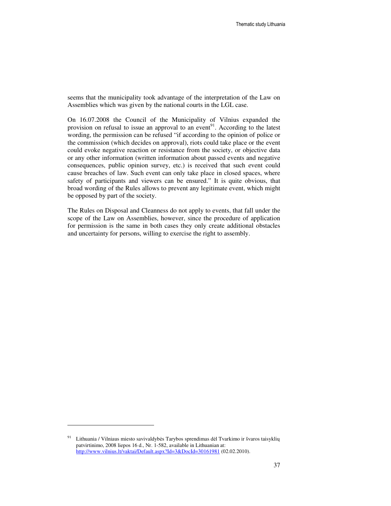seems that the municipality took advantage of the interpretation of the Law on Assemblies which was given by the national courts in the LGL case.

On 16.07.2008 the Council of the Municipality of Vilnius expanded the provision on refusal to issue an approval to an event<sup>91</sup>. According to the latest wording, the permission can be refused "if according to the opinion of police or the commission (which decides on approval), riots could take place or the event could evoke negative reaction or resistance from the society, or objective data or any other information (written information about passed events and negative consequences, public opinion survey, etc.) is received that such event could cause breaches of law. Such event can only take place in closed spaces, where safety of participants and viewers can be ensured." It is quite obvious, that broad wording of the Rules allows to prevent any legitimate event, which might be opposed by part of the society.

The Rules on Disposal and Cleanness do not apply to events, that fall under the scope of the Law on Assemblies, however, since the procedure of application for permission is the same in both cases they only create additional obstacles and uncertainty for persons, willing to exercise the right to assembly.

Lithuania / Vilniaus miesto savivaldybės Tarybos sprendimas dėl Tvarkimo ir švaros taisyklių patvirtinimo, 2008 liepos 16 d., Nr. 1-582, available in Lithuanian at: http://www.vilnius.lt/vaktai/Default.aspx?Id=3&DocId=30161981 (02.02.2010).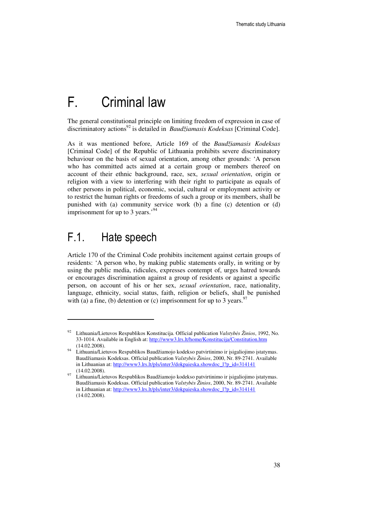# F. Criminal law

The general constitutional principle on limiting freedom of expression in case of discriminatory actions<sup>92</sup> is detailed in *Baudžiamasis Kodeksas* [Criminal Code].

As it was mentioned before, Article 169 of the *Baudžiamasis Kodeksas* [Criminal Code] of the Republic of Lithuania prohibits severe discriminatory behaviour on the basis of sexual orientation, among other grounds: 'A person who has committed acts aimed at a certain group or members thereof on account of their ethnic background, race, sex, *sexual orientation*, origin or religion with a view to interfering with their right to participate as equals of other persons in political, economic, social, cultural or employment activity or to restrict the human rights or freedoms of such a group or its members, shall be punished with (a) community service work (b) a fine (c) detention or (d) imprisonment for up to 3 years.<sup>'94</sup>

### F.1. Hate speech

 $\overline{a}$ 

Article 170 of the Criminal Code prohibits incitement against certain groups of residents: 'A person who, by making public statements orally, in writing or by using the public media, ridicules, expresses contempt of, urges hatred towards or encourages discrimination against a group of residents or against a specific person, on account of his or her sex, *sexual orientation*, race, nationality, language, ethnicity, social status, faith, religion or beliefs, shall be punished with (a) a fine, (b) detention or (c) imprisonment for up to 3 years.<sup>97</sup>

<sup>92</sup> Lithuania/Lietuvos Respublikos Konstitucija. Official publication *Valstyb*ė*s Žinios*, 1992, No. 33-1014. Available in English at: http://www3.lrs.lt/home/Konstitucija/Constitution.htm (14.02.2008).

<sup>94</sup> Lithuania/Lietuvos Respublikos Baudžiamojo kodekso patvirtinimo ir įsigaliojimo įstatymas. Baudžiamasis Kodeksas. Official publication *Valstyb*ė*s Žinios*, 2000, Nr. 89-2741. Available in Lithuanian at: http://www3.lrs.lt/pls/inter3/dokpaieska.showdoc\_l?p\_id=314141 (14.02.2008).

<sup>97</sup> Lithuania/Lietuvos Respublikos Baudžiamojo kodekso patvirtinimo ir įsigaliojimo įstatymas. Baudžiamasis Kodeksas. Official publication *Valstyb*ė*s Žinios*, 2000, Nr. 89-2741. Available in Lithuanian at: http://www3.lrs.lt/pls/inter3/dokpaieska.showdoc\_l?p\_id=314141 (14.02.2008).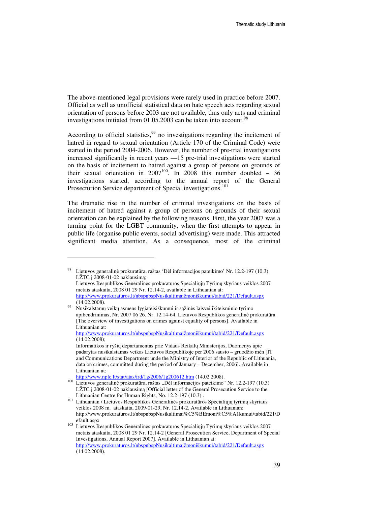The above-mentioned legal provisions were rarely used in practice before 2007. Official as well as unofficial statistical data on hate speech acts regarding sexual orientation of persons before 2003 are not available, thus only acts and criminal investigations initiated from  $01.05.2003$  can be taken into account.<sup>98</sup>

According to official statistics,<sup>99</sup> no investigations regarding the incitement of hatred in regard to sexual orientation (Article 170 of the Criminal Code) were started in the period 2004-2006. However, the number of pre-trial investigations increased significantly in recent years —15 pre-trial investigations were started on the basis of incitement to hatred against a group of persons on grounds of their sexual orientation in  $2007^{100}$ . In 2008 this number doubled – 36 investigations started, according to the annual report of the General Prosecturion Service department of Special investigations.<sup>101</sup>

The dramatic rise in the number of criminal investigations on the basis of incitement of hatred against a group of persons on grounds of their sexual orientation can be explained by the following reasons. First, the year 2007 was a turning point for the LGBT community, when the first attempts to appear in public life (organise public events, social advertising) were made. This attracted significant media attention. As a consequence, most of the criminal

Lietuvos generalinė prokuratūra, raštas 'Dėl informacijos pateikimo' Nr. 12.2-197 (10.3) LŽTC į 2008-01-02 paklausimą;

Lietuvos Respublikos Generalinės prokuratūros Specialiųjų Tyrimų skyriaus veiklos 2007 metais ataskaita, 2008 01 29 Nr. 12.14-2, available in Lithuanian at: http://www.prokuraturos.lt/nbspnbspNusikaltimaižmoniškumui/tabid/221/Default.aspx (14.02.2008).

<sup>99</sup> Nusikalstamų veikų asmens lygiateisiškumui ir sąžinės laisvei ikiteisminio tyrimo apibendrinimas, Nr. 2007 06 26, Nr. 12.14-64, Lietuvos Respublikos generalinė prokuratūra [The overview of investigations on crimes against equality of persons]. Available in Lithuanian at:

http://www.prokuraturos.lt/nbspnbspNusikaltimaižmoniškumui/tabid/221/Default.aspx (14.02.2008);

Informatikos ir ryšių departamentas prie Vidaus Reikalų Ministerijos, Duomenys apie padarytas nusikalstamas veikas Lietuvos Respublikoje per 2006 sausio – gruodžio mėn [IT and Communications Department unde the Ministry of Interior of the Republic of Lithuania, data on crimes, committed during the period of January – December, 2006]. Available in Lithuanian at:

http://www.nplc.lt/stat/atas/ird/1g/2006/1g200612.htm (14.02.2008).

<sup>&</sup>lt;sup>100</sup> Lietuvos generalinė prokuratūra, raštas "Dėl informacijos pateikimo" Nr. 12.2-197 (10.3) LŽTC į 2008-01-02 paklausimą [Official letter of the General Prosecution Service to the Lithuanian Centre for Human Rights, No. 12.2-197 (10.3) .

<sup>&</sup>lt;sup>101</sup> Lithuanian / Lietuvos Respublikos Generalinės prokuratūros Specialiųjų tyrimų skyriaus veiklos 2008 m. ataskaita, 2009-01-29, Nr. 12.14-2, Available in Lithuanian: http://www.prokuraturos.lt/nbspnbspNusikaltimai%C5%BEmoni%C5%A1kumui/tabid/221/D efault.aspx

<sup>103</sup> Lietuvos Respublikos Generalinės prokuratūros Specialiųjų Tyrimų skyriaus veiklos 2007 metais ataskaita, 2008 01 29 Nr. 12.14-2 [General Prosecution Service, Department of Special Investigations, Annual Report 2007]. Available in Lithuanian at: http://www.prokuraturos.lt/nbspnbspNusikaltimaižmoniškumui/tabid/221/Default.aspx (14.02.2008).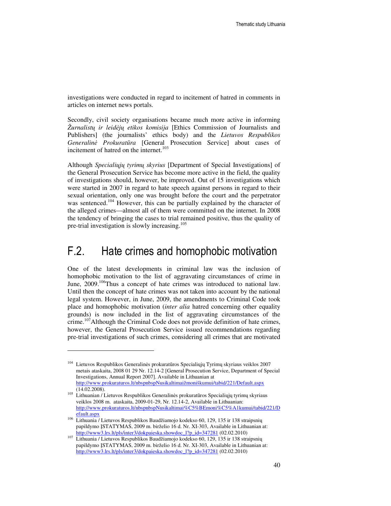investigations were conducted in regard to incitement of hatred in comments in articles on internet news portals.

Secondly, civil society organisations became much more active in informing *Žurnalist*ų *ir leid*ė*j*ų *etikos komisija* [Ethics Commission of Journalists and Publishers] (the journalists' ethics body) and the *Lietuvos Respublikos Generalin*ė *Prokurat*ū*ra* [General Prosecution Service] about cases of incitement of hatred on the internet.<sup>103</sup>

Although *Speciali*ų*j*ų *tyrim*ų *skyrius* [Department of Special Investigations] of the General Prosecution Service has become more active in the field, the quality of investigations should, however, be improved. Out of 15 investigations which were started in 2007 in regard to hate speech against persons in regard to their sexual orientation, only one was brought before the court and the perpetrator was sentenced.<sup>104</sup> However, this can be partially explained by the character of the alleged crimes—almost all of them were committed on the internet. In 2008 the tendency of bringing the cases to trial remained positive, thus the quality of pre-trial investigation is slowly increasing.<sup>105</sup>

### F.2. Hate crimes and homophobic motivation

One of the latest developments in criminal law was the inclusion of homophobic motivation to the list of aggravating circumstances of crime in June,  $2009$ <sup>106</sup>Thus a concept of hate crimes was introduced to national law. Until then the concept of hate crimes was not taken into account by the national legal system. However, in June, 2009, the amendments to Criminal Code took place and homophobic motivation (*inter alia* hatred concerning other equality grounds) is now included in the list of aggravating circumstances of the crime.<sup>107</sup>Although the Criminal Code does not provide definition of hate crimes, however, the General Prosecution Service issued recommendations regarding pre-trial investigations of such crimes, considering all crimes that are motivated

<sup>104</sup> Lietuvos Respublikos Generalinės prokuratūros Specialiųjų Tyrimų skyriaus veiklos 2007 metais ataskaita, 2008 01 29 Nr. 12.14-2 [General Prosecution Service, Department of Special Investigations, Annual Report 2007]. Available in Lithuanian at http://www.prokuraturos.lt/nbspnbspNusikaltimaižmoniškumui/tabid/221/Default.aspx (14.02.2008).

<sup>105</sup> Lithuanian / Lietuvos Respublikos Generalinės prokuratūros Specialiųjų tyrimų skyriaus veiklos 2008 m. ataskaita, 2009-01-29, Nr. 12.14-2, Available in Lithuanian: http://www.prokuraturos.lt/nbspnbspNusikaltimai%C5%BEmoni%C5%A1kumui/tabid/221/D efault.aspx

<sup>&</sup>lt;sup>106</sup> Lithuania / Lietuvos Respublikos Baudžiamojo kodekso 60, 129, 135 ir 138 straipsnių papildymo ĮSTATYMAS, 2009 m. birželio 16 d. Nr. XI-303, Available in Lithuanian at: http://www3.lrs.lt/pls/inter3/dokpaieska.showdoc\_l?p\_id=347281 (02.02.2010)

<sup>107</sup> Lithuania / Lietuvos Respublikos Baudžiamojo kodekso 60, 129, 135 ir 138 straipsnių papildymo ĮSTATYMAS, 2009 m. birželio 16 d. Nr. XI-303, Available in Lithuanian at: http://www3.lrs.lt/pls/inter3/dokpaieska.showdoc\_l?p\_id=347281 (02.02.2010)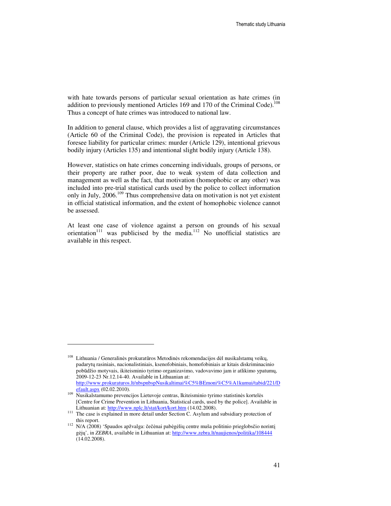with hate towards persons of particular sexual orientation as hate crimes (in addition to previously mentioned Articles 169 and 170 of the Criminal Code).<sup>1</sup> Thus a concept of hate crimes was introduced to national law.

In addition to general clause, which provides a list of aggravating circumstances (Article 60 of the Criminal Code), the provision is repeated in Articles that foresee liability for particular crimes: murder (Article 129), intentional grievous bodily injury (Articles 135) and intentional slight bodily injury (Article 138).

However, statistics on hate crimes concerning individuals, groups of persons, or their property are rather poor, due to weak system of data collection and management as well as the fact, that motivation (homophobic or any other) was included into pre-trial statistical cards used by the police to collect information only in July,  $2006$ <sup>109</sup>. Thus comprehensive data on motivation is not yet existent in official statistical information, and the extent of homophobic violence cannot be assessed.

At least one case of violence against a person on grounds of his sexual orientation<sup>111</sup> was publicised by the media.<sup>112</sup> No unofficial statistics are available in this respect.

<sup>&</sup>lt;sup>108</sup> Lithuania / Generalinės prokuratūros Metodinės rekomendacijos dėl nusikalstamų veikų, padarytų rasiniais, nacionalistiniais, ksenofobiniais, homofobiniais ar kitais diskriminacinio pobūdžio motyvais, ikiteisminio tyrimo organizavimo, vadovavimo jam ir atlikimo ypatumų, 2009-12-23 Nr.12.14-40. Available in Lithuanian at: http://www.prokuraturos.lt/nbspnbspNusikaltimai%C5%BEmoni%C5%A1kumui/tabid/221/D efault.aspx (02.02.2010).

<sup>109</sup> Nusikalstamumo prevencijos Lietuvoje centras, Ikiteisminio tyrimo statistinės kortelės [Centre for Crime Prevention in Lithuania, Statistical cards, used by the police]. Available in Lithuanian at: http://www.nplc.lt/stat/kort/kort.htm (14.02.2008).

<sup>&</sup>lt;sup>111</sup> The case is explained in more detail under Section C. Asylum and subsidiary protection of this report.

<sup>112</sup> N/A (2008) 'Spaudos apžvalga: čečėnai pabėgėlių centre muša politinio prieglobsčio norintį gėjų', in *ZEBRA*, available in Lithuanian at: http://www.zebra.lt/naujienos/politika/108444 (14.02.2008).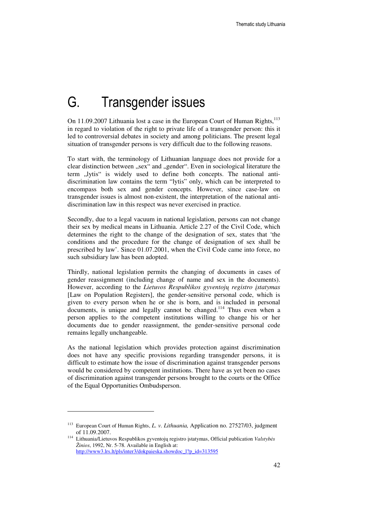# G. Transgender issues

On 11.09.2007 Lithuania lost a case in the European Court of Human Rights,<sup>113</sup> in regard to violation of the right to private life of a transgender person: this it led to controversial debates in society and among politicians. The present legal situation of transgender persons is very difficult due to the following reasons.

To start with, the terminology of Lithuanian language does not provide for a clear distinction between "sex" and "gender". Even in sociological literature the term "lytis" is widely used to define both concepts. The national antidiscrimination law contains the term "lytis" only, which can be interpreted to encompass both sex and gender concepts. However, since case-law on transgender issues is almost non-existent, the interpretation of the national antidiscrimination law in this respect was never exercised in practice.

Secondly, due to a legal vacuum in national legislation, persons can not change their sex by medical means in Lithuania. Article 2.27 of the Civil Code, which determines the right to the change of the designation of sex, states that 'the conditions and the procedure for the change of designation of sex shall be prescribed by law'. Since 01.07.2001, when the Civil Code came into force, no such subsidiary law has been adopted.

Thirdly, national legislation permits the changing of documents in cases of gender reassignment (including change of name and sex in the documents). However, according to the *Lietuvos Respublikos gyventoj*ų *registro* į*statymas* [Law on Population Registers], the gender-sensitive personal code, which is given to every person when he or she is born, and is included in personal documents, is unique and legally cannot be changed.<sup>114</sup> Thus even when a person applies to the competent institutions willing to change his or her documents due to gender reassignment, the gender-sensitive personal code remains legally unchangeable.

As the national legislation which provides protection against discrimination does not have any specific provisions regarding transgender persons, it is difficult to estimate how the issue of discrimination against transgender persons would be considered by competent institutions. There have as yet been no cases of discrimination against transgender persons brought to the courts or the Office of the Equal Opportunities Ombudsperson.

<sup>113</sup> European Court of Human Rights, *L. v. Lithuania,* Application no. 27527/03, judgment of 11.09.2007.

<sup>114</sup> Lithuania/Lietuvos Respublikos gyventojų registro įstatymas, Official publication *Valstyb*ė*s Žinios*, 1992, Nr. 5-78. Available in English at: http://www3.lrs.lt/pls/inter3/dokpaieska.showdoc\_l?p\_id=313595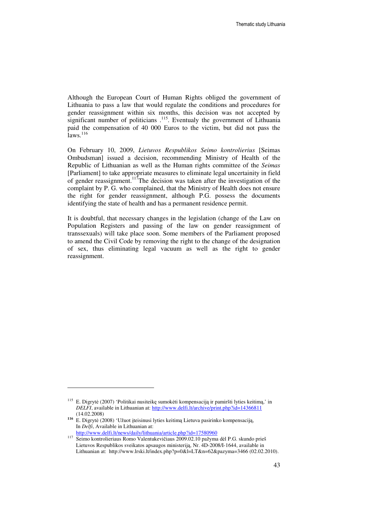Although the European Court of Human Rights obliged the government of Lithuania to pass a law that would regulate the conditions and procedures for gender reassignment within six months, this decision was not accepted by significant number of politicians  $115$ . Eventualy the government of Lithuania paid the compensation of 40 000 Euros to the victim, but did not pass the  $i<sub>3</sub>$  aws.<sup>116</sup>

On February 10, 2009, *Lietuvos Respublikos Seimo kontrolierius* [Seimas Ombudsman] issued a decision, recommending Ministry of Health of the Republic of Lithuanian as well as the Human rights committee of the *Seimas* [Parliament] to take appropriate measures to eliminate legal uncertainity in field of gender reassignment.<sup>117</sup>The decision was taken after the investigation of the complaint by P. G. who complained, that the Ministry of Health does not ensure the right for gender reassignment, although P.G. possess the documents identifying the state of health and has a permanent residence permit.

It is doubtful, that necessary changes in the legislation (change of the Law on Population Registers and passing of the law on gender reassignment of transsexuals) will take place soon. Some members of the Parliament proposed to amend the Civil Code by removing the right to the change of the designation of sex, thus eliminating legal vacuum as well as the right to gender reassignment.

<sup>115</sup> E. Digrytė (2007) 'Politikai nusiteikę sumokėti kompensaciją ir pamiršti lyties keitimą,' in *DELFI*, available in Lithuanian at: http://www.delfi.lt/archive/print.php?id=14366811 (14.02.2008)

**<sup>116</sup>** E. Digrytė (2008) 'Užuot įteisinusi lyties keitimą Lietuva pasirinko kompensaciją, In *Delfi*, Available in Lithuanian at: http://www.delfi.lt/news/daily/lithuania/article.php?id=17580960

<sup>117</sup> Seimo kontrolieriaus Romo Valentukevičiaus 2009.02.10 pažyma dėl P.G. skundo prieš Lietuvos Respublikos sveikatos apsaugos ministeriją, Nr. 4D-2008/I-1644, available in Lithuanian at: http://www.lrski.lt/index.php?p=0&l=LT&n=62&pazyma=3466 (02.02.2010).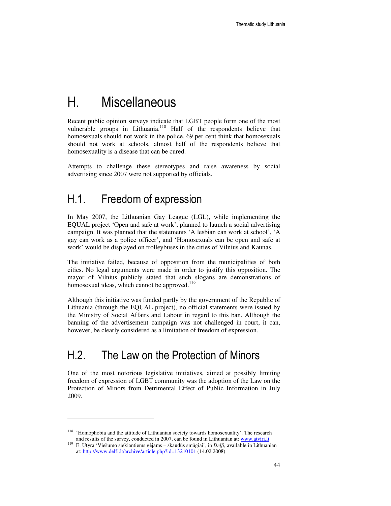# H. Miscellaneous

Recent public opinion surveys indicate that LGBT people form one of the most vulnerable groups in Lithuania.<sup>118</sup> Half of the respondents believe that homosexuals should not work in the police, 69 per cent think that homosexuals should not work at schools, almost half of the respondents believe that homosexuality is a disease that can be cured.

Attempts to challenge these stereotypes and raise awareness by social advertising since 2007 were not supported by officials.

### H.1. Freedom of expression

In May 2007, the Lithuanian Gay League (LGL), while implementing the EQUAL project 'Open and safe at work', planned to launch a social advertising campaign. It was planned that the statements 'A lesbian can work at school', 'A gay can work as a police officer', and 'Homosexuals can be open and safe at work' would be displayed on trolleybuses in the cities of Vilnius and Kaunas.

The initiative failed, because of opposition from the municipalities of both cities. No legal arguments were made in order to justify this opposition. The mayor of Vilnius publicly stated that such slogans are demonstrations of homosexual ideas, which cannot be approved.<sup>119</sup>

Although this initiative was funded partly by the government of the Republic of Lithuania (through the EQUAL project), no official statements were issued by the Ministry of Social Affairs and Labour in regard to this ban. Although the banning of the advertisement campaign was not challenged in court, it can, however, be clearly considered as a limitation of freedom of expression.

## H.2. The Law on the Protection of Minors

One of the most notorious legislative initiatives, aimed at possibly limiting freedom of expression of LGBT community was the adoption of the Law on the Protection of Minors from Detrimental Effect of Public Information in July 2009.

<sup>&</sup>lt;sup>118</sup> 'Homophobia and the attitude of Lithuanian society towards homosexuality'. The research and results of the survey, conducted in 2007, can be found in Lithuanian at: www.atviri.lt

<sup>119</sup> E. Utyra 'Viešumo siekiantiems gėjams – skaudūs smūgiai', in *Delfi*, available in Lithuanian at: http://www.delfi.lt/archive/article.php?id=13210101 (14.02.2008).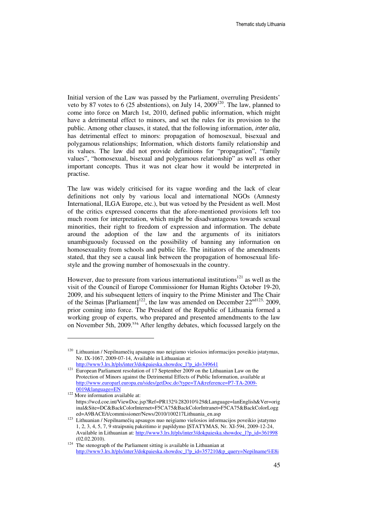Initial version of the Law was passed by the Parliament, overruling Presidents' veto by 87 votes to 6 (25 abstentions), on July 14,  $2009^{120}$ . The law, planned to come into force on March 1st, 2010, defined public information, which might have a detrimental effect to minors, and set the rules for its provision to the public. Among other clauses, it stated, that the following information, inter alia, has detrimental effect to minors: propagation of homosexual, bisexual and polygamous relationships; Information, which distorts family relationship and its values. The law did not provide definitions for "propagation", "family values", "homosexual, bisexual and polygamous relationship" as well as other important concepts. Thus it was not clear how it would be interpreted in practise.

The law was widely criticised for its vague wording and the lack of clear definitions not only by various local and international NGOs (Amnesty International, ILGA Europe, etc.), but was vetoed by the President as well. Most of the critics expressed concerns that the afore-mentioned provisions left too much room for interpretation, which might be disadvantageous towards sexual minorities, their right to freedom of expression and information. The debate around the adoption of the law and the arguments of its initiators unambiguously focussed on the possibility of banning any information on homosexuality from schools and public life. The initiators of the amendments stated, that they see a causal link between the propagation of homosexual lifestyle and the growing number of homosexuals in the country.

However, due to pressure from various international institutions<sup>121</sup> as well as the visit of the Council of Europe Commissioner for Human Rights October 19-20, 2009, and his subsequent letters of inquiry to the Prime Minister and The Chair of the Seimas [Parliament]<sup>122</sup>, the law was amended on December  $22^{\text{nd123}}$ , 2009, prior coming into force. The President of the Republic of Lithuania formed a working group of experts, who prepared and presented amendments to the law on November 5th, 2009.<sup>124</sup> After lengthy debates, which focussed largely on the

<sup>120</sup> Lithuanian / Nepilnamečių apsaugos nuo neigiamo viešosios informacijos poveikio įstatymas, Nr. IX-1067, 2009-07-14, Available in Lithuanian at:

http://www3.lrs.lt/pls/inter3/dokpaieska.showdoc\_l?p\_id=349641

<sup>&</sup>lt;sup>121</sup> European Parliament resolution of 17 September 2009 on the Lithuanian Law on the Protection of Minors against the Detrimental Effects of Public Information, available at http://www.europarl.europa.eu/sides/getDoc.do?type=TA&reference=P7-TA-2009- 0019&language=EN

<sup>&</sup>lt;sup>122</sup> More information available at: https://wcd.coe.int/ViewDoc.jsp?Ref=PR132%282010%29&Language=lanEnglish&Ver=orig inal&Site=DC&BackColorInternet=F5CA75&BackColorIntranet=F5CA75&BackColorLogg ed=A9BACE/t/commissioner/News/2010/100217Lithuania\_en.asp

<sup>123</sup> Lithuanian / Nepilnamečių apsaugos nuo neigiamo viešosios informacijos poveikio įstatymo 1, 2, 3, 4, 5, 7, 9 straipsnių pakeitimo ir papildymo ĮSTATYMAS, Nr. XI-594, 2009-12-24, Available in Lithuanian at: http://www3.lrs.lt/pls/inter3/dokpaieska.showdoc\_l?p\_id=361998 (02.02.2010).

<sup>&</sup>lt;sup>124</sup> The stenograph of the Parliament sitting is available in Lithuanian at http://www3.lrs.lt/pls/inter3/dokpaieska.showdoc\_l?p\_id=357210&p\_query=Nepilname%E8i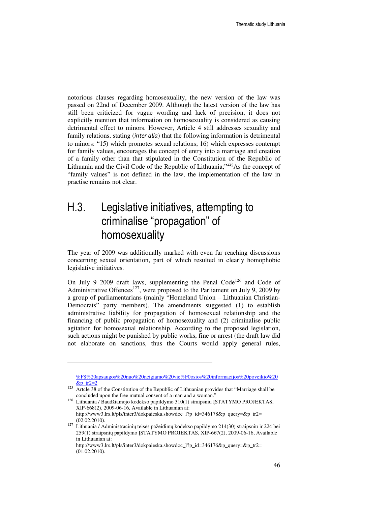notorious clauses regarding homosexuality, the new version of the law was passed on 22nd of December 2009. Although the latest version of the law has still been criticized for vague wording and lack of precision, it does not explicitly mention that information on homosexuality is considered as causing detrimental effect to minors. However, Article 4 still addresses sexuality and family relations, stating *(inter alia)* that the following information is detrimental to minors: "15) which promotes sexual relations; 16) which expresses contempt for family values, encourages the concept of entry into a marriage and creation of a family other than that stipulated in the Constitution of the Republic of Lithuania and the Civil Code of the Republic of Lithuania;"<sup>125</sup>As the concept of "family values" is not defined in the law, the implementation of the law in practise remains not clear.

## H.3. Legislative initiatives, attempting to criminalise "propagation" of homosexuality

The year of 2009 was additionally marked with even far reaching discussions concerning sexual orientation, part of which resulted in clearly homophobic legislative initiatives.

On July 9 2009 draft laws, supplementing the Penal Code<sup>126</sup> and Code of Administrative Offences<sup>127</sup>, were proposed to the Parliament on July 9, 2009 by a group of parliamentarians (mainly "Homeland Union – Lithuanian Christian-Democrats" party members). The amendments suggested (1) to establish administrative liability for propagation of homosexual relationship and the financing of public propagation of homosexuality and (2) criminalise public agitation for homosexual relationship. According to the proposed legislation, such actions might be punished by public works, fine or arrest (the draft law did not elaborate on sanctions, thus the Courts would apply general rules,

<sup>%</sup>F8%20apsaugos%20nuo%20neigiamo%20vie%F0osios%20informacijos%20poveikio%20  $&p_tr2=2$ 

<sup>&</sup>lt;sup>125</sup> Artcle 38 of the Constitution of the Republic of Lithuanian provides that "Marriage shall be concluded upon the free mutual consent of a man and a woman."

<sup>126</sup> Lithuania / Baudžiamojo kodekso papildymo 310(1) straipsniu ĮSTATYMO PROJEKTAS, XIP-668(2), 2009-06-16, Available in Lithuanian at: http://www3.lrs.lt/pls/inter3/dokpaieska.showdoc\_l?p\_id=346178&p\_query=&p\_tr2= (02.02.2010).

<sup>127</sup> Lithuania / Administracinių teisės pažeidimų kodekso papildymo 214(30) straipsniu ir 224 bei 259(1) straipsnių papildymo ĮSTATYMO PROJEKTAS, XIP-667(2), 2009-06-16, Available in Lithuanian at:

http://www3.lrs.lt/pls/inter3/dokpaieska.showdoc\_l?p\_id=346176&p\_query=&p\_tr2= (01.02.2010).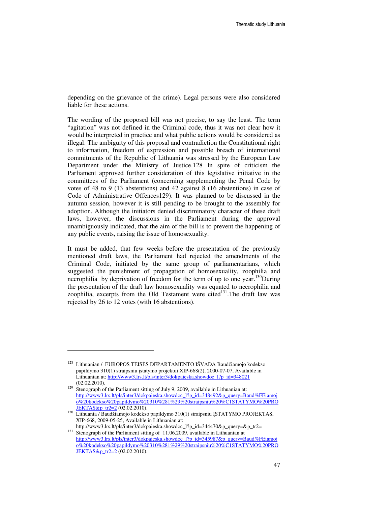depending on the grievance of the crime). Legal persons were also considered liable for these actions.

The wording of the proposed bill was not precise, to say the least. The term "agitation" was not defined in the Criminal code, thus it was not clear how it would be interpreted in practice and what public actions would be considered as illegal. The ambiguity of this proposal and contradiction the Constitutional right to information, freedom of expression and possible breach of international commitments of the Republic of Lithuania was stressed by the European Law Department under the Ministry of Justice.128 In spite of criticism the Parliament approved further consideration of this legislative initiative in the committees of the Parliament (concerning supplementing the Penal Code by votes of 48 to 9 (13 abstentions) and 42 against 8 (16 abstentions) in case of Code of Administrative Offences129). It was planned to be discussed in the autumn session, however it is still pending to be brought to the assembly for adoption. Although the initiators denied discriminatory character of these draft laws, however, the discussions in the Parliament during the approval unambiguously indicated, that the aim of the bill is to prevent the happening of any public events, raising the issue of homosexuality.

It must be added, that few weeks before the presentation of the previously mentioned draft laws, the Parliament had rejected the amendments of the Criminal Code, initiated by the same group of parliamentarians, which suggested the punishment of propagation of homosexuality, zoophilia and necrophilia by deprivation of freedom for the term of up to one year.<sup>130</sup>During the presentation of the draft law homosexuality was equated to necrophilia and zoophilia, excerpts from the Old Testament were cited $131$ . The draft law was rejected by 26 to 12 votes (with 16 abstentions).

<sup>&</sup>lt;sup>128</sup> Lithuanian / EUROPOS TEISĖS DEPARTAMENTO IŠVADA Baudžiamojo kodekso papildymo 310(1) straipsniu įstatymo projektui XIP-668(2), 2000-07-07, Available in Lithuanian at: http://www3.lrs.lt/pls/inter3/dokpaieska.showdoc\_l?p\_id=348021 (02.02.2010).

<sup>&</sup>lt;sup>129</sup> Stenograph of the Parliament sitting of July 9, 2009, available in Lithuanian at: http://www3.lrs.lt/pls/inter3/dokpaieska.showdoc\_l?p\_id=348492&p\_query=Baud%FEiamoj o%20kodekso%20papildymo%20310%281%29%20straipsniu%20%C1STATYMO%20PRO JEKTAS&p\_tr2=2 (02.02.2010).

<sup>130</sup> Lithuania / Baudžiamojo kodekso papildymo 310(1) straipsniu ĮSTATYMO PROJEKTAS, XIP-668, 2009-05-25, Available in Lithuanian at:

http://www3.lrs.lt/pls/inter3/dokpaieska.showdoc\_l?p\_id=344470&p\_query=&p\_tr2= <sup>131</sup> Stenograph of the Parliament sitting of 11.06.2009, available in Lithuanian at http://www3.lrs.lt/pls/inter3/dokpaieska.showdoc\_l?p\_id=345987&p\_query=Baud%FEiamoj o%20kodekso%20papildymo%20310%281%29%20straipsniu%20%C1STATYMO%20PRO JEKTAS&p\_tr2=2 (02.02.2010).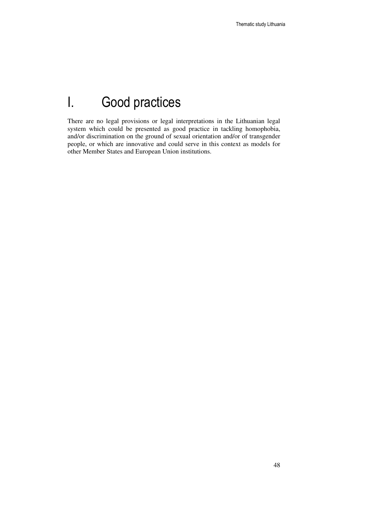# I. Good practices

There are no legal provisions or legal interpretations in the Lithuanian legal system which could be presented as good practice in tackling homophobia, and/or discrimination on the ground of sexual orientation and/or of transgender people, or which are innovative and could serve in this context as models for other Member States and European Union institutions.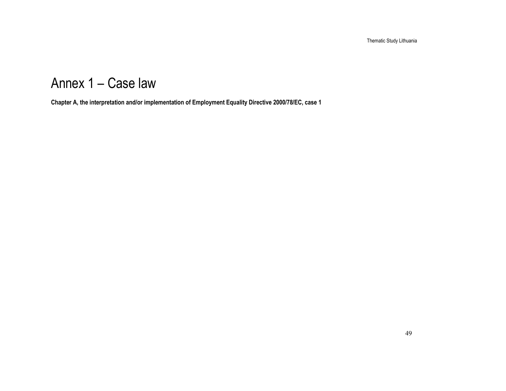Thematic Study Lithuania

# Annex 1 – Case law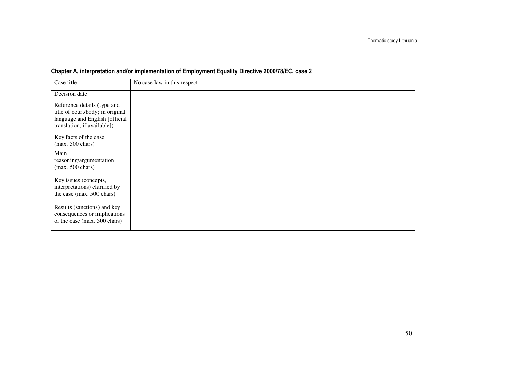| Case title                                                                                                                       | No case law in this respect |
|----------------------------------------------------------------------------------------------------------------------------------|-----------------------------|
| Decision date                                                                                                                    |                             |
| Reference details (type and<br>title of court/body; in original<br>language and English [official<br>translation, if available]) |                             |
| Key facts of the case<br>$(max. 500 \text{ chars})$                                                                              |                             |
| Main<br>reasoning/argumentation<br>$(max. 500 \text{ chars})$                                                                    |                             |
| Key issues (concepts,<br>interpretations) clarified by<br>the case (max. 500 chars)                                              |                             |
| Results (sanctions) and key<br>consequences or implications<br>of the case (max. 500 chars)                                      |                             |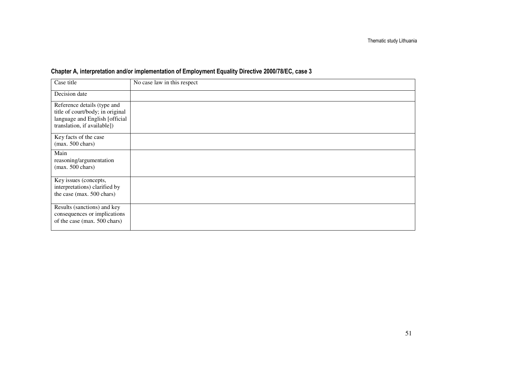| Case title                                                                                                                       | No case law in this respect |
|----------------------------------------------------------------------------------------------------------------------------------|-----------------------------|
| Decision date                                                                                                                    |                             |
| Reference details (type and<br>title of court/body; in original<br>language and English [official<br>translation, if available]) |                             |
| Key facts of the case<br>$(max. 500 \text{ chars})$                                                                              |                             |
| Main<br>reasoning/argumentation<br>$(max. 500 \text{ chars})$                                                                    |                             |
| Key issues (concepts,<br>interpretations) clarified by<br>the case (max. 500 chars)                                              |                             |
| Results (sanctions) and key<br>consequences or implications<br>of the case (max. 500 chars)                                      |                             |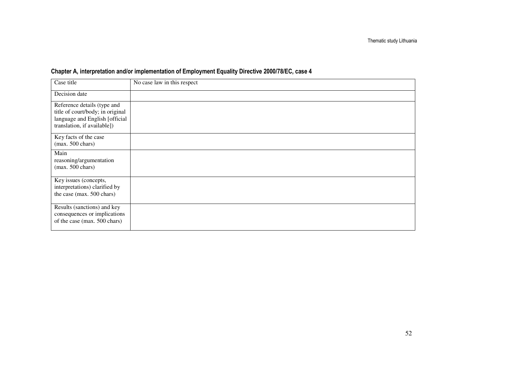| Case title                                                                                                                       | No case law in this respect |
|----------------------------------------------------------------------------------------------------------------------------------|-----------------------------|
| Decision date                                                                                                                    |                             |
| Reference details (type and<br>title of court/body; in original<br>language and English [official<br>translation, if available]) |                             |
| Key facts of the case<br>$(max. 500 \text{ chars})$                                                                              |                             |
| Main<br>reasoning/argumentation<br>$(max. 500 \text{ chars})$                                                                    |                             |
| Key issues (concepts,<br>interpretations) clarified by<br>the case (max. 500 chars)                                              |                             |
| Results (sanctions) and key<br>consequences or implications<br>of the case (max. 500 chars)                                      |                             |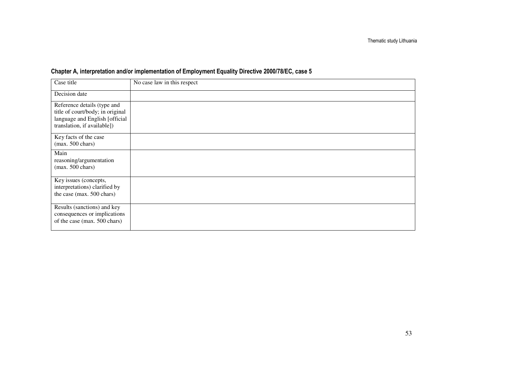| Case title                                                                                                                       | No case law in this respect |
|----------------------------------------------------------------------------------------------------------------------------------|-----------------------------|
| Decision date                                                                                                                    |                             |
| Reference details (type and<br>title of court/body; in original<br>language and English [official<br>translation, if available]) |                             |
| Key facts of the case<br>$(max. 500 \text{ chars})$                                                                              |                             |
| Main<br>reasoning/argumentation<br>$(max. 500 \text{ chars})$                                                                    |                             |
| Key issues (concepts,<br>interpretations) clarified by<br>the case (max. 500 chars)                                              |                             |
| Results (sanctions) and key<br>consequences or implications<br>of the case (max. 500 chars)                                      |                             |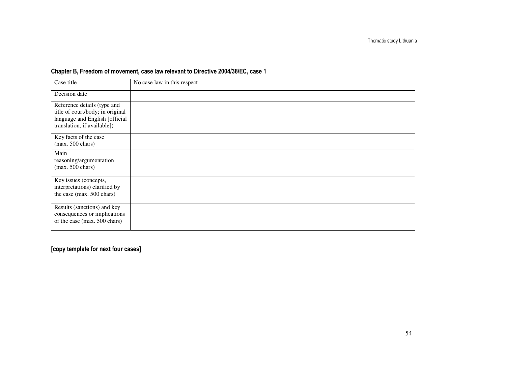### Chapter B, Freedom of movement, case law relevant to Directive 2004/38/EC, case 1

| Case title                                                                                                                       | No case law in this respect |
|----------------------------------------------------------------------------------------------------------------------------------|-----------------------------|
| Decision date                                                                                                                    |                             |
| Reference details (type and<br>title of court/body; in original<br>language and English [official<br>translation, if available]) |                             |
| Key facts of the case<br>$(max. 500 \text{ chars})$                                                                              |                             |
| Main<br>reasoning/argumentation<br>$(max. 500 \text{ chars})$                                                                    |                             |
| Key issues (concepts,<br>interpretations) clarified by<br>the case (max. 500 chars)                                              |                             |
| Results (sanctions) and key<br>consequences or implications<br>of the case (max. 500 chars)                                      |                             |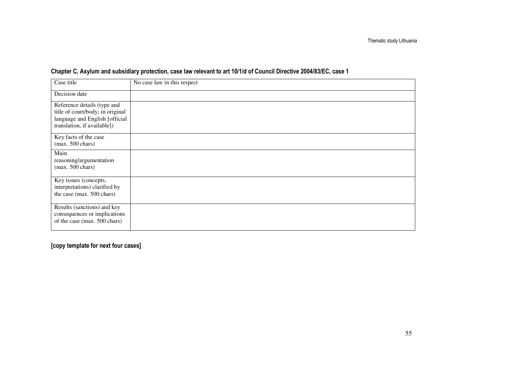| Case title                                                                                                                       | No case law in this respect |
|----------------------------------------------------------------------------------------------------------------------------------|-----------------------------|
| Decision date                                                                                                                    |                             |
| Reference details (type and<br>title of court/body; in original<br>language and English [official<br>translation, if available]) |                             |
| Key facts of the case<br>$(max. 500 \text{ chars})$                                                                              |                             |
| Main<br>reasoning/argumentation<br>$(max. 500 \text{ chars})$                                                                    |                             |
| Key issues (concepts,<br>interpretations) clarified by<br>the case (max. 500 chars)                                              |                             |
| Results (sanctions) and key<br>consequences or implications<br>of the case (max. 500 chars)                                      |                             |

#### Chapter C, Asylum and subsidiary protection, case law relevant to art 10/1/d of Council Directive 2004/83/EC, case 1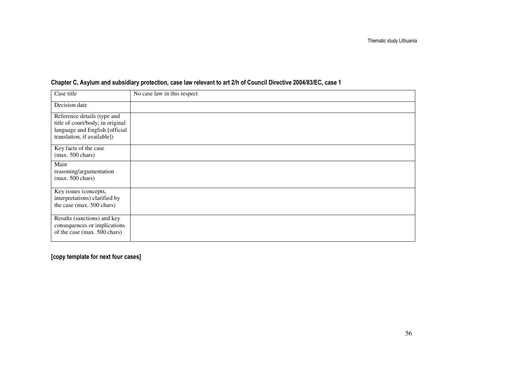| Case title                                                                                                                       | No case law in this respect |
|----------------------------------------------------------------------------------------------------------------------------------|-----------------------------|
| Decision date                                                                                                                    |                             |
| Reference details (type and<br>title of court/body; in original<br>language and English [official<br>translation, if available]) |                             |
| Key facts of the case<br>$(max. 500 \text{ chars})$                                                                              |                             |
| Main<br>reasoning/argumentation<br>$(max. 500 \text{ chars})$                                                                    |                             |
| Key issues (concepts,<br>interpretations) clarified by<br>the case (max. 500 chars)                                              |                             |
| Results (sanctions) and key<br>consequences or implications<br>of the case (max. 500 chars)                                      |                             |

### Chapter C, Asylum and subsidiary protection, case law relevant to art 2/h of Council Directive 2004/83/EC, case 1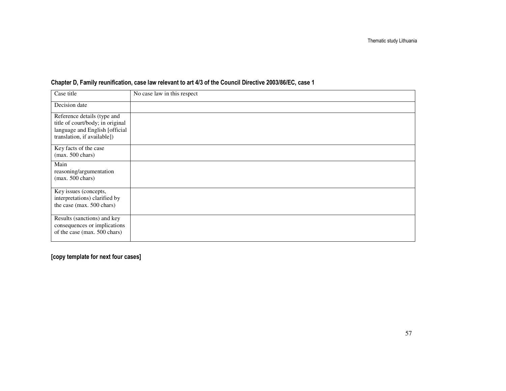| Case title                                                                                                                       | No case law in this respect |
|----------------------------------------------------------------------------------------------------------------------------------|-----------------------------|
| Decision date                                                                                                                    |                             |
| Reference details (type and<br>title of court/body; in original<br>language and English [official<br>translation, if available]) |                             |
| Key facts of the case<br>$(max. 500 \text{ chars})$                                                                              |                             |
| Main<br>reasoning/argumentation<br>$(max. 500 \text{ chars})$                                                                    |                             |
| Key issues (concepts,<br>interpretations) clarified by<br>the case (max. 500 chars)                                              |                             |
| Results (sanctions) and key<br>consequences or implications<br>of the case (max. 500 chars)                                      |                             |

### Chapter D, Family reunification, case law relevant to art 4/3 of the Council Directive 2003/86/EC, case 1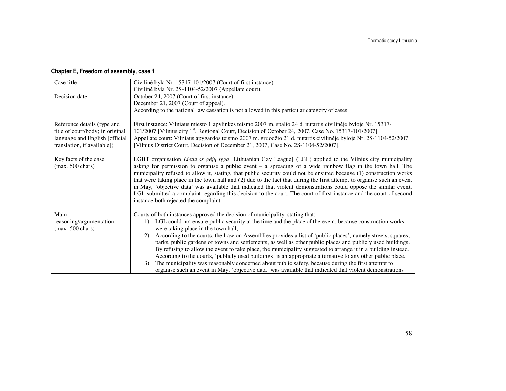### Chapter E, Freedom of assembly, case 1

| Case title                       | Civilinė byla Nr. 15317-101/2007 (Court of first instance).                                                                             |
|----------------------------------|-----------------------------------------------------------------------------------------------------------------------------------------|
|                                  | Civilinė byla Nr. 2S-1104-52/2007 (Appellate court).                                                                                    |
| Decision date                    | October 24, 2007 (Court of first instance).                                                                                             |
|                                  | December 21, 2007 (Court of appeal).                                                                                                    |
|                                  | According to the national law cassation is not allowed in this particular category of cases.                                            |
|                                  |                                                                                                                                         |
| Reference details (type and      | First instance: Vilniaus miesto 1 apylinkės teismo 2007 m. spalio 24 d. nutartis civilinėje byloje Nr. 15317-                           |
| title of court/body; in original | 101/2007 [Vilnius city 1 <sup>st</sup> . Regional Court, Decision of October 24, 2007, Case No. 15317-101/2007].                        |
| language and English [official   | Appellate court: Vilniaus apygardos teismo 2007 m. gruodžio 21 d. nutartis civilinėje byloje Nr. 2S-1104-52/2007                        |
| translation, if available])      | [Vilnius District Court, Decision of December 21, 2007, Case No. 2S-1104-52/2007].                                                      |
|                                  |                                                                                                                                         |
| Key facts of the case            | LGBT organisation Lietuvos gėjų lyga [Lithuanian Gay League] (LGL) applied to the Vilnius city municipality                             |
| $(max. 500 \text{ chars})$       | asking for permission to organise a public event $-$ a spreading of a wide rainbow flag in the town hall. The                           |
|                                  | municipality refused to allow it, stating, that public security could not be ensured because (1) construction works                     |
|                                  | that were taking place in the town hall and (2) due to the fact that during the first attempt to organise such an event                 |
|                                  | in May, 'objective data' was available that indicated that violent demonstrations could oppose the similar event.                       |
|                                  | LGL submitted a complaint regarding this decision to the court. The court of first instance and the court of second                     |
|                                  | instance both rejected the complaint.                                                                                                   |
|                                  |                                                                                                                                         |
| Main                             | Courts of both instances approved the decision of municipality, stating that:                                                           |
| reasoning/argumentation          | LGL could not ensure public security at the time and the place of the event, because construction works<br>$\left( \frac{1}{2} \right)$ |
| $(max. 500 \text{ chars})$       | were taking place in the town hall;                                                                                                     |
|                                  | According to the courts, the Law on Assemblies provides a list of 'public places', namely streets, squares,<br>(2)                      |
|                                  | parks, public gardens of towns and settlements, as well as other public places and publicly used buildings.                             |
|                                  | By refusing to allow the event to take place, the municipality suggested to arrange it in a building instead.                           |
|                                  | According to the courts, 'publicly used buildings' is an appropriate alternative to any other public place.                             |
|                                  | The municipality was reasonably concerned about public safety, because during the first attempt to<br>3)                                |
|                                  | organise such an event in May, 'objective data' was available that indicated that violent demonstrations                                |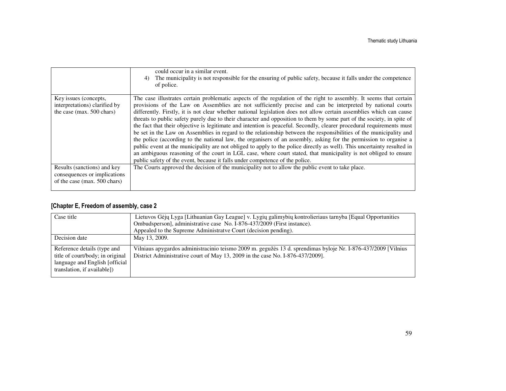|                               | could occur in a similar event.<br>The municipality is not responsible for the ensuring of public safety, because it falls under the competence<br>4)<br>of police.                                                                                                                                                                                                                                                                                                                                                                                                                                                                                                                                                                                                                                                                                                                                                                              |
|-------------------------------|--------------------------------------------------------------------------------------------------------------------------------------------------------------------------------------------------------------------------------------------------------------------------------------------------------------------------------------------------------------------------------------------------------------------------------------------------------------------------------------------------------------------------------------------------------------------------------------------------------------------------------------------------------------------------------------------------------------------------------------------------------------------------------------------------------------------------------------------------------------------------------------------------------------------------------------------------|
| Key issues (concepts,         | The case illustrates certain problematic aspects of the regulation of the right to assembly. It seems that certain                                                                                                                                                                                                                                                                                                                                                                                                                                                                                                                                                                                                                                                                                                                                                                                                                               |
| interpretations) clarified by | provisions of the Law on Assemblies are not sufficiently precise and can be interpreted by national courts                                                                                                                                                                                                                                                                                                                                                                                                                                                                                                                                                                                                                                                                                                                                                                                                                                       |
| the case (max. 500 chars)     | differently. Firstly, it is not clear whether national legislation does not allow certain assemblies which can cause<br>threats to public safety purely due to their character and opposition to them by some part of the society, in spite of<br>the fact that their objective is legitimate and intention is peaceful. Secondly, clearer procedural requirements must<br>be set in the Law on Assemblies in regard to the relationship between the responsibilities of the municipality and<br>the police (according to the national law, the organisers of an assembly, asking for the permission to organise a<br>public event at the municipality are not obliged to apply to the police directly as well). This uncertainty resulted in<br>an ambiguous reasoning of the court in LGL case, where court stated, that municipality is not obliged to ensure<br>public safety of the event, because it falls under competence of the police. |
| Results (sanctions) and key   | The Courts approved the decision of the municipality not to allow the public event to take place.                                                                                                                                                                                                                                                                                                                                                                                                                                                                                                                                                                                                                                                                                                                                                                                                                                                |
| consequences or implications  |                                                                                                                                                                                                                                                                                                                                                                                                                                                                                                                                                                                                                                                                                                                                                                                                                                                                                                                                                  |
| of the case (max. 500 chars)  |                                                                                                                                                                                                                                                                                                                                                                                                                                                                                                                                                                                                                                                                                                                                                                                                                                                                                                                                                  |

#### [Chapter E, Freedom of assembly, case 2

| Case title                                                                                                                        | Lietuvos Gėjų Lyga [Lithuanian Gay League] v. Lygių galimybių kontrolieriaus tarnyba [Equal Opportunities<br>Ombudsperson], administrative case No. I-876-437/2009 (First instance).<br>Appealed to the Supreme Administratve Court (decision pending). |
|-----------------------------------------------------------------------------------------------------------------------------------|---------------------------------------------------------------------------------------------------------------------------------------------------------------------------------------------------------------------------------------------------------|
| Decision date                                                                                                                     | May 13, 2009.                                                                                                                                                                                                                                           |
| Reference details (type and<br>title of court/body; in original<br>language and English [official]<br>translation, if available]) | Vilniaus apygardos administracinio teismo 2009 m. gegužės 13 d. sprendimas byloje Nr. I-876-437/2009 [Vilnius<br>District Administrative court of May 13, 2009 in the case No. I-876-437/2009].                                                         |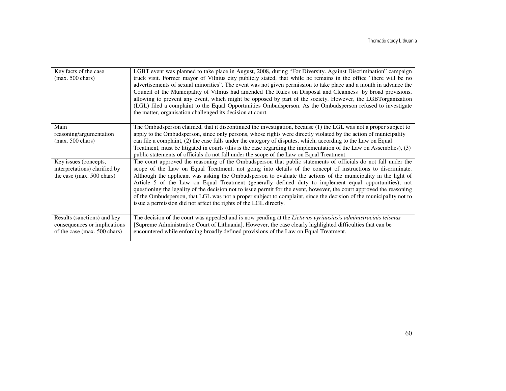| Key facts of the case<br>$(max. 500 \text{ chars})$                                         | LGBT event was planned to take place in August, 2008, during "For Diversity. Against Discrimination" campaign<br>truck visit. Former mayor of Vilnius city publicly stated, that while he remains in the office "there will be no<br>advertisements of sexual minorities". The event was not given permission to take place and a month in advance the<br>Council of the Municipality of Vilnius had amended The Rules on Disposal and Cleanness by broad provisions,<br>allowing to prevent any event, which might be opposed by part of the society. However, the LGBTorganization<br>(LGL) filed a complaint to the Equal Opportunities Ombudsperson. As the Ombudsperson refused to investigate<br>the matter, organisation challenged its decision at court.             |
|---------------------------------------------------------------------------------------------|-------------------------------------------------------------------------------------------------------------------------------------------------------------------------------------------------------------------------------------------------------------------------------------------------------------------------------------------------------------------------------------------------------------------------------------------------------------------------------------------------------------------------------------------------------------------------------------------------------------------------------------------------------------------------------------------------------------------------------------------------------------------------------|
| Main<br>reasoning/argumentation<br>$(max. 500 \text{ chars})$                               | The Ombudsperson claimed, that it discontinued the investigation, because (1) the LGL was not a proper subject to<br>apply to the Ombudsperson, since only persons, whose rights were directly violated by the action of municipality<br>can file a complaint, (2) the case falls under the category of disputes, which, according to the Law on Equal<br>Treatment, must be litigated in courts (this is the case regarding the implementation of the Law on Assemblies), (3)<br>public statements of officials do not fall under the scope of the Law on Equal Treatment.                                                                                                                                                                                                   |
| Key issues (concepts,<br>interpretations) clarified by<br>the case (max. 500 chars)         | The court approved the reasoning of the Ombudsperson that public statements of officials do not fall under the<br>scope of the Law on Equal Treatment, not going into details of the concept of instructions to discriminate.<br>Although the applicant was asking the Ombudsperson to evaluate the actions of the municipality in the light of<br>Article 5 of the Law on Equal Treatment (generally defined duty to implement equal opportunities), not<br>questioning the legality of the decision not to issue permit for the event, however, the court approved the reasoning<br>of the Ombudsperson, that LGL was not a proper subject to complaint, since the decision of the municipality not to<br>issue a permission did not affect the rights of the LGL directly. |
| Results (sanctions) and key<br>consequences or implications<br>of the case (max. 500 chars) | The decision of the court was appealed and is now pending at the Lietuvos vyriausiasis administracinis teismas<br>[Supreme Administrative Court of Lithuania]. However, the case clearly highlighted difficulties that can be<br>encountered while enforcing broadly defined provisions of the Law on Equal Treatment.                                                                                                                                                                                                                                                                                                                                                                                                                                                        |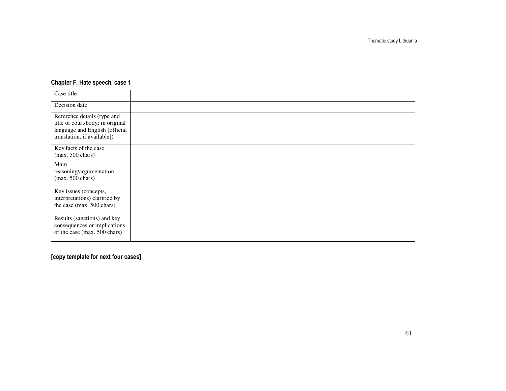### Chapter F, Hate speech, case 1

| Case title                                                                                                                       |  |
|----------------------------------------------------------------------------------------------------------------------------------|--|
| Decision date                                                                                                                    |  |
| Reference details (type and<br>title of court/body; in original<br>language and English [official<br>translation, if available]) |  |
| Key facts of the case<br>$(max. 500 \text{ chars})$                                                                              |  |
| Main<br>reasoning/argumentation<br>$(max. 500 \text{ chars})$                                                                    |  |
| Key issues (concepts,<br>interpretations) clarified by<br>the case (max. 500 chars)                                              |  |
| Results (sanctions) and key<br>consequences or implications<br>of the case (max. 500 chars)                                      |  |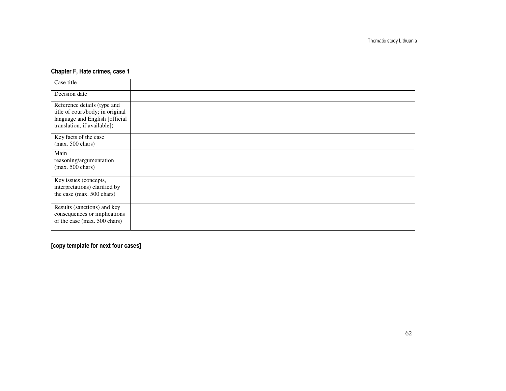### Chapter F, Hate crimes, case 1

| Case title                                                                                                                       |  |
|----------------------------------------------------------------------------------------------------------------------------------|--|
| Decision date                                                                                                                    |  |
| Reference details (type and<br>title of court/body; in original<br>language and English [official<br>translation, if available]) |  |
| Key facts of the case<br>$(max. 500 \text{ chars})$                                                                              |  |
| Main<br>reasoning/argumentation<br>$(max. 500 \text{ chars})$                                                                    |  |
| Key issues (concepts,<br>interpretations) clarified by<br>the case (max. 500 chars)                                              |  |
| Results (sanctions) and key<br>consequences or implications<br>of the case (max. 500 chars)                                      |  |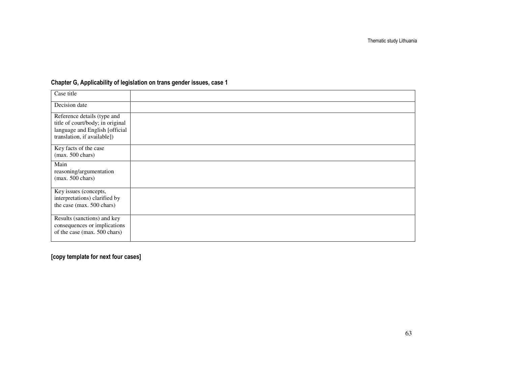| Case title                                                                                                                       |  |
|----------------------------------------------------------------------------------------------------------------------------------|--|
| Decision date                                                                                                                    |  |
| Reference details (type and<br>title of court/body; in original<br>language and English [official<br>translation, if available]) |  |
| Key facts of the case<br>$(max. 500 \text{ chars})$                                                                              |  |
| Main<br>reasoning/argumentation<br>$(max. 500 \text{ chars})$                                                                    |  |
| Key issues (concepts,<br>interpretations) clarified by<br>the case (max. 500 chars)                                              |  |
| Results (sanctions) and key<br>consequences or implications<br>of the case (max. 500 chars)                                      |  |

### Chapter G, Applicability of legislation on trans gender issues, case 1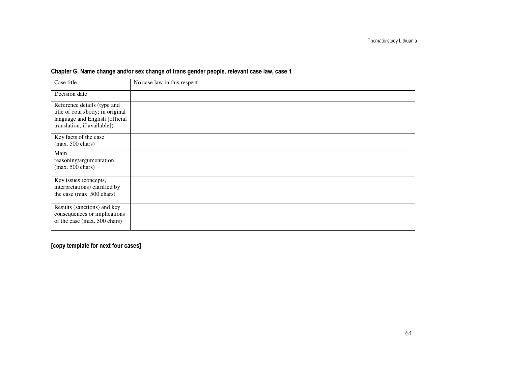| Case title                                                                                                                       | No case law in this respect |
|----------------------------------------------------------------------------------------------------------------------------------|-----------------------------|
| Decision date                                                                                                                    |                             |
| Reference details (type and<br>title of court/body; in original<br>language and English [official<br>translation, if available]) |                             |
| Key facts of the case<br>$(max. 500 \text{ chars})$                                                                              |                             |
| Main<br>reasoning/argumentation<br>$(max. 500 \text{ chars})$                                                                    |                             |
| Key issues (concepts,<br>interpretations) clarified by<br>the case (max. 500 chars)                                              |                             |
| Results (sanctions) and key<br>consequences or implications<br>of the case (max. 500 chars)                                      |                             |

### Chapter G, Name change and/or sex change of trans gender people, relevant case law, case 1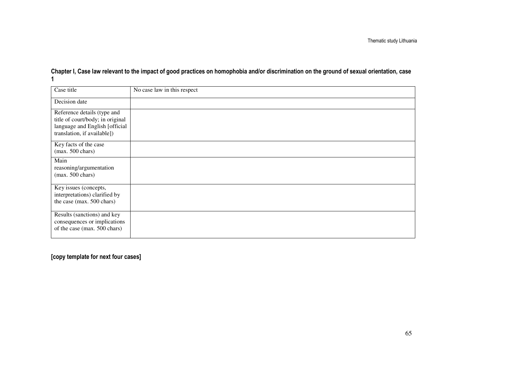# Chapter I, Case law relevant to the impact of good practices on homophobia and/or discrimination on the ground of sexual orientation, case 1

| Case title                                                                                                                       | No case law in this respect |
|----------------------------------------------------------------------------------------------------------------------------------|-----------------------------|
| Decision date                                                                                                                    |                             |
| Reference details (type and<br>title of court/body; in original<br>language and English [official<br>translation, if available]) |                             |
| Key facts of the case<br>$(max. 500 \text{ chars})$                                                                              |                             |
| Main<br>reasoning/argumentation<br>$(max. 500 \text{ chars})$                                                                    |                             |
| Key issues (concepts,<br>interpretations) clarified by<br>the case (max. 500 chars)                                              |                             |
| Results (sanctions) and key<br>consequences or implications<br>of the case (max. 500 chars)                                      |                             |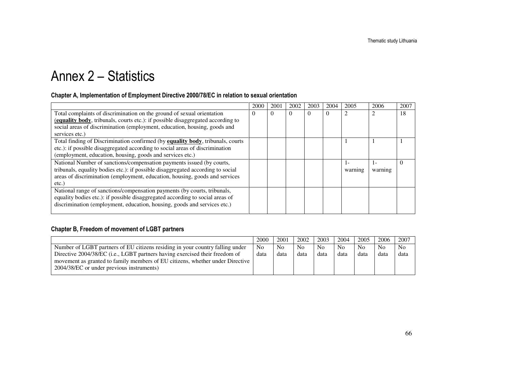# Annex 2 – Statistics

#### Chapter A, Implementation of Employment Directive 2000/78/EC in relation to sexual orientation

|                                                                                 | 2000 | 2001     | 2002 | 2003 | 2004 | 2005           | 2006           | 2007     |
|---------------------------------------------------------------------------------|------|----------|------|------|------|----------------|----------------|----------|
| Total complaints of discrimination on the ground of sexual orientation          |      | $\Omega$ | 0    |      |      | $\overline{2}$ |                | 18       |
| (equality body, tribunals, courts etc.): if possible disaggregated according to |      |          |      |      |      |                |                |          |
| social areas of discrimination (employment, education, housing, goods and       |      |          |      |      |      |                |                |          |
| services etc.)                                                                  |      |          |      |      |      |                |                |          |
| Total finding of Discrimination confirmed (by equality body, tribunals, courts  |      |          |      |      |      |                |                |          |
| etc.): if possible disaggregated according to social areas of discrimination    |      |          |      |      |      |                |                |          |
| (employment, education, housing, goods and services etc.)                       |      |          |      |      |      |                |                |          |
| National Number of sanctions/compensation payments issued (by courts,           |      |          |      |      |      |                | $\mathsf{I}$ – | $\Omega$ |
| tribunals, equality bodies etc.): if possible disaggregated according to social |      |          |      |      |      | warning        | warning        |          |
| areas of discrimination (employment, education, housing, goods and services     |      |          |      |      |      |                |                |          |
| $etc.$ )                                                                        |      |          |      |      |      |                |                |          |
| National range of sanctions/compensation payments (by courts, tribunals,        |      |          |      |      |      |                |                |          |
| equality bodies etc.): if possible disaggregated according to social areas of   |      |          |      |      |      |                |                |          |
| discrimination (employment, education, housing, goods and services etc.)        |      |          |      |      |      |                |                |          |
|                                                                                 |      |          |      |      |      |                |                |          |

### Chapter B, Freedom of movement of LGBT partners

|                                                                               | 2000           | 2001 | 2002 | 2003           | 2004           | 2005 | 2006           | 2007           |
|-------------------------------------------------------------------------------|----------------|------|------|----------------|----------------|------|----------------|----------------|
| Number of LGBT partners of EU citizens residing in your country falling under | N <sub>0</sub> | Nο   | No.  | N <sub>0</sub> | N <sub>0</sub> | No   | N <sub>0</sub> | N <sub>0</sub> |
| Directive 2004/38/EC (i.e., LGBT partners having exercised their freedom of   | data           | data | data | data           | data           | data | data           | data           |
| movement as granted to family members of EU citizens, whether under Directive |                |      |      |                |                |      |                |                |
| 2004/38/EC or under previous instruments)                                     |                |      |      |                |                |      |                |                |
|                                                                               |                |      |      |                |                |      |                |                |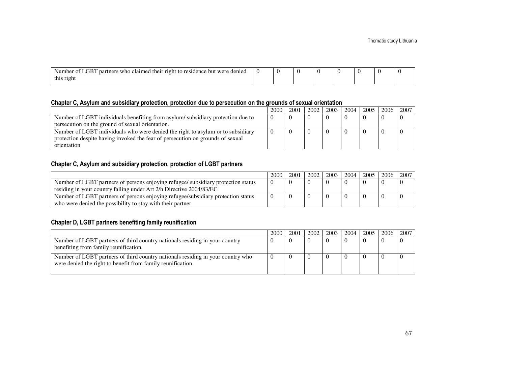| $\sim$ $\sim$ $\sim$<br>∸of LGB .<br>s who claimed their right to residence but were denied<br>partners<br>Numbe <sub>i</sub> |  |  |  |  |
|-------------------------------------------------------------------------------------------------------------------------------|--|--|--|--|
| this right                                                                                                                    |  |  |  |  |

#### Chapter C, Asylum and subsidiary protection, protection due to persecution on the grounds of sexual orientation

|                                                                                 | 2000 | 2001 | 2002 | 2003 | 2004 | 2005 | 2006 1 | 2007 |
|---------------------------------------------------------------------------------|------|------|------|------|------|------|--------|------|
| Number of LGBT individuals benefiting from asylum/subsidiary protection due to  |      |      |      |      |      |      |        |      |
| persecution on the ground of sexual orientation.                                |      |      |      |      |      |      |        |      |
| Number of LGBT individuals who were denied the right to asylum or to subsidiary |      |      |      |      |      |      |        |      |
| protection despite having invoked the fear of persecution on grounds of sexual  |      |      |      |      |      |      |        |      |
| orientation                                                                     |      |      |      |      |      |      |        |      |

#### Chapter C, Asylum and subsidiary protection, protection of LGBT partners

|                                                                                   | 2000 | 2001 | 2002 | 2003 | 2004 | 2005 | 2006 | 2007 |
|-----------------------------------------------------------------------------------|------|------|------|------|------|------|------|------|
| Number of LGBT partners of persons enjoying refugee/ subsidiary protection status |      |      |      |      |      |      |      |      |
| residing in your country falling under Art 2/h Directive 2004/83/EC               |      |      |      |      |      |      |      |      |
| Number of LGBT partners of persons enjoying refugee/subsidiary protection status  |      |      |      |      |      |      |      |      |
| who were denied the possibility to stay with their partner                        |      |      |      |      |      |      |      |      |

#### Chapter D, LGBT partners benefiting family reunification

|                                                                                                                                               | 2000 | 2001 | 2002 | $2003$ | 2004 | 2005 | 2006 i | 2007 |
|-----------------------------------------------------------------------------------------------------------------------------------------------|------|------|------|--------|------|------|--------|------|
| Number of LGBT partners of third country nationals residing in your country<br>benefiting from family reunification.                          |      |      |      |        |      |      |        |      |
| Number of LGBT partners of third country nationals residing in your country who<br>were denied the right to benefit from family reunification |      |      |      |        |      |      |        |      |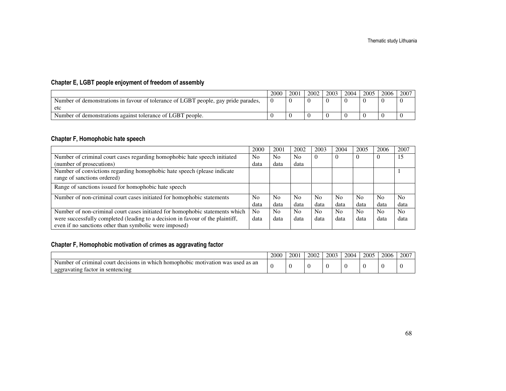### Chapter E, LGBT people enjoyment of freedom of assembly

|                                                                                    | 2000 | 2001 | 2002 | 2003 | 2004 | 2005 | 2006 | 2007 |
|------------------------------------------------------------------------------------|------|------|------|------|------|------|------|------|
| Number of demonstrations in favour of tolerance of LGBT people, gay pride parades, |      |      |      |      |      |      |      |      |
| etc                                                                                |      |      |      |      |      |      |      |      |
| Number of demonstrations against tolerance of LGBT people.                         |      |      |      |      |      |      |      |      |

#### Chapter F, Homophobic hate speech

|                                                                                | 2000           | 2001           | 2002           | 2003           | 2004           | 2005           | 2006           | 2007           |
|--------------------------------------------------------------------------------|----------------|----------------|----------------|----------------|----------------|----------------|----------------|----------------|
| Number of criminal court cases regarding homophobic hate speech initiated      | N <sub>0</sub> | N <sub>0</sub> | N <sub>0</sub> | $\theta$       | $\mathbf{U}$   | υ              | U              | 15             |
| (number of prosecutions)                                                       | data           | data           | data           |                |                |                |                |                |
| Number of convictions regarding homophobic hate speech (please indicate        |                |                |                |                |                |                |                |                |
| range of sanctions ordered)                                                    |                |                |                |                |                |                |                |                |
| Range of sanctions issued for homophobic hate speech                           |                |                |                |                |                |                |                |                |
| Number of non-criminal court cases initiated for homophobic statements         | N <sub>0</sub> | N <sub>0</sub> | N <sub>0</sub> | N <sub>0</sub> | N <sub>0</sub> | N <sub>0</sub> | N <sub>0</sub> | N <sub>0</sub> |
|                                                                                | data           | data           | data           | data           | data           | data           | data           | data           |
| Number of non-criminal court cases initiated for homophobic statements which   | No             | N <sub>0</sub> | N <sub>0</sub> | N <sub>0</sub> | N <sub>0</sub> | N <sub>0</sub> | No.            | No             |
| were successfully completed (leading to a decision in favour of the plaintiff, | data           | data           | data           | data           | data           | data           | data           | data           |
| even if no sanctions other than symbolic were imposed)                         |                |                |                |                |                |                |                |                |

### Chapter F, Homophobic motivation of crimes as aggravating factor

|                                                                                                                                                                              | 2000 | 2001 | 2002 | 2003 | 2004 | 2005 | 2006 | 2007 |
|------------------------------------------------------------------------------------------------------------------------------------------------------------------------------|------|------|------|------|------|------|------|------|
| as an<br>criminal<br>Number<br>court<br>was<br>used<br>which<br>nd hic<br>1n<br>ı homonha<br>decisions<br>mo<br>$\cdot$ tyation.<br>sentencing<br>aggravating factor<br>-1 n |      |      |      |      |      |      |      |      |